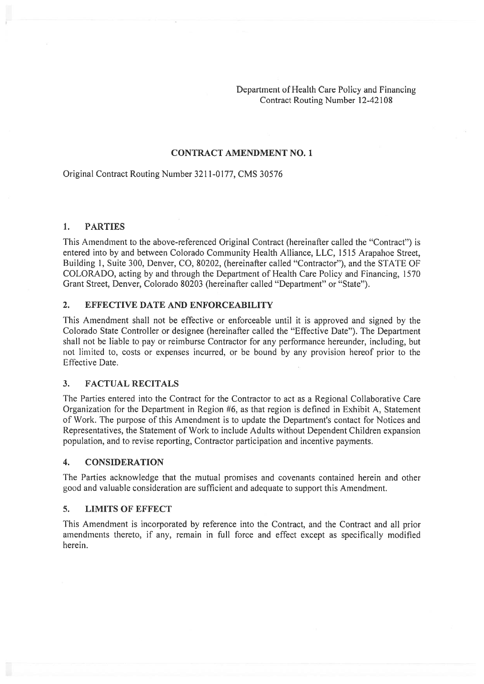Department of Health Care Policy and Financing Contract Routing Number 12-42 108

#### CONTRACT AMENDMENT NO. 1

### Original Contract Routing Number 3211-0177, CMS 30576

#### 1. PARTIES

This Amendment to the above-referenced Original Contract (hereinafter called the "Contract") is entered into by and between Colorado Community Health Alliance, LLC, 1515 Arapahoe Street, Building 1, Suite 300, Denver, CO, 80202, (hereinafter called "Contractor"), and the STATE OF COLORADO, acting by and through the Department of Health Care Policy and Financing, 1570 Grant Street, Denver, Colorado 80203 (hereinafter called "Department" or "State").

#### 2. EFFECTIVE DATE AND ENFORCEABILITY

This Amendment shall not be effective or enforceable until it is approved and signed by the Colorado State Controller or designee (hereinafter called the "Effective Date"). The Department shall not be liable to pay or reimburse Contractor for any performance hereunder, including, but not limited to, costs or expenses incurred, or be bound by any provision hereof prior to the Effective Date.

#### 3. FACTUAL RECITALS

The Parties entered into the Contract for the Contractor to act as <sup>a</sup> Regional Collaborative Care Organization for the Department in Region #6, as that region is defined in Exhibit A, Statement of Work. The purpose of this Amendment is to update the Department's contact for Notices and Representatives, the Statement of Work to include Adults without Dependent Children expansion population, and to revise reporting, Contractor participation and incentive payments.

#### 4. CONSIDERATION

The Parties acknowledge that the mutual promises and covenants contained herein and other good and valuable consideration are sufficient and adequate to suppor<sup>t</sup> this Amendment.

#### 5. LIMITS OF EFFECT

This Amendment is incorporated by reference into the Contract, and the Contract and all prior amendments thereto, if any, remain in full force and effect excep<sup>t</sup> as specifically modified herein.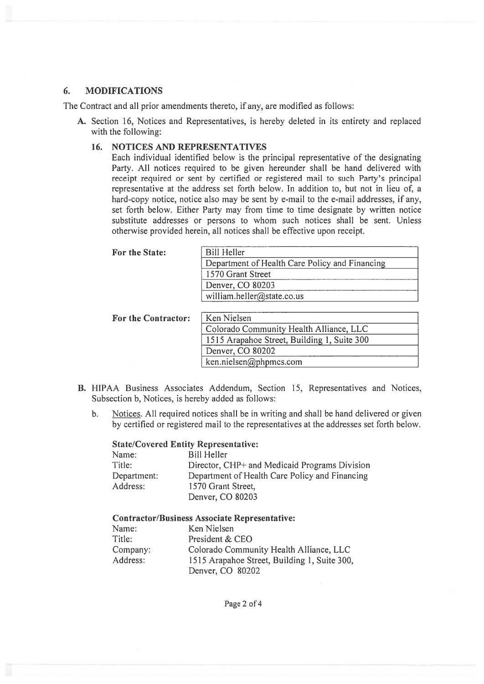#### 6. MODIFICATIONS

The Contract and all prior amendments thereto, if any, are modified as follows:

A. Section 16, Notices and Representatives, is hereby deleted in its entirety and replaced with the following:

### 16. NOTICES AND REPRESENTATIVES

Each individual identified below is the principal representative of the designating Party. All notices required to be given hereunder shall be hand delivered with receipt required or sent by certified or registered mail to such Party's principal representative at the address set forth below. In addition to, but not in lieu of, <sup>a</sup> hard-copy notice, notice also may be sent by e-mail to the e-mail addresses, if any, set forth below. Either Party may from time to time designate by written notice substitute addresses or persons to whom such notices shall be sent. Unless otherwise provided herein, all notices shall be effective upon receipt.

| For the State:             | <b>Bill Heller</b>                             |
|----------------------------|------------------------------------------------|
|                            | Department of Health Care Policy and Financing |
|                            | 1570 Grant Street                              |
|                            | Denver, CO 80203                               |
|                            | william.heller@state.co.us                     |
|                            |                                                |
| <b>For the Contractor:</b> | Ken Nielsen                                    |
|                            | Colorado Community Health Alliance, LLC        |
|                            | 1515 Arapahoe Street, Building 1, Suite 300    |
|                            | Denver, CO 80202                               |

B. HIPAA Business Associates Addendum, Section 15, Representatives and Notices, Subsection b, Notices, is hereby added as follows:

ken.nielsen@phpmcs.com

b. Notices. All required notices shall be in writing and shall be hand delivered or given by certified or registered mail to the representatives at the addresses set forth below.

#### State/Covered Entity Representative:

| Name:       | Bill Heller                                    |
|-------------|------------------------------------------------|
| Title:      | Director, CHP+ and Medicaid Programs Division  |
| Department: | Department of Health Care Policy and Financing |
| Address:    | 1570 Grant Street,                             |
|             | Denver, CO 80203                               |

#### Contractor/Business Associate Representative:

| Name:    | Ken Nielsen                                  |
|----------|----------------------------------------------|
| Title:   | President & CEO                              |
| Company: | Colorado Community Health Alliance, LLC      |
| Address: | 1515 Arapahoe Street, Building 1, Suite 300, |
|          | Denver, CO 80202                             |

Page 2 of 4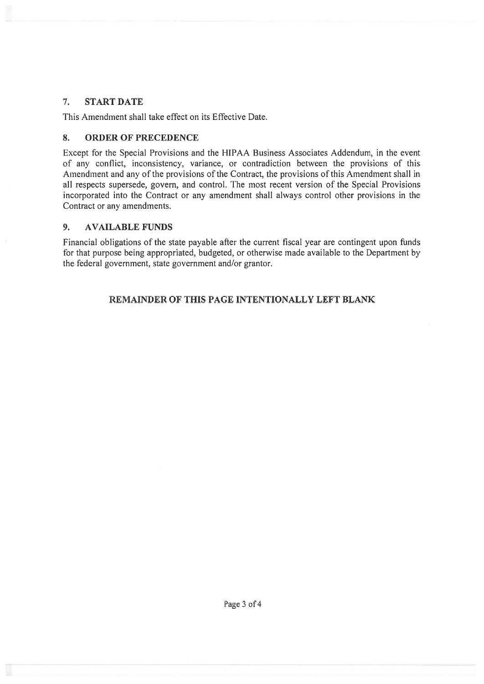# 7. START DATE

This Amendment shall take effect on its Effective Date.

# 8. ORDER OF PRECEDENCE

Except for the Special Provisions and the HIPAA Business Associates Addendum, in the event of any conflict, inconsistency, variance, or contradiction between the provisions of this Amendment and any of the provisions of the Contract, the provisions of this Amendment shall in all respects supersede, govern, and control. The most recent version of the Special Provisions incorporated into the Contract or any amendment shall always control other provisions in the Contract or any amendments.

# 9. AVAILABLE FUNDS

Financial obligations of the state payable after the current fiscal year are contingent upon funds for that purpose being appropriated, budgeted, or otherwise made available to the Department by the federal government, state governmen<sup>t</sup> and/or grantor.

# REMAINDER OF THIS PAGE INTENTIONALLY LEFT BLANK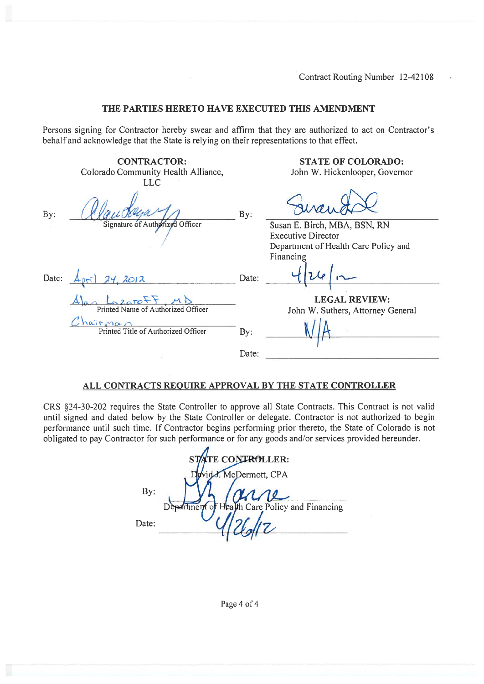#### THE PARTIES HERETO HAVE EXECUTED THIS AMENDMENT

Persons signing for Contractor hereby swear and affirm that they are authorized to act on Contractor's behalf and acknowledge that the State is relying on their representations to that effect.

|       | <b>CONTRACTOR:</b>                             |       | <b>STATE OF COLORADO:</b>            |
|-------|------------------------------------------------|-------|--------------------------------------|
|       | Colorado Community Health Alliance,            |       | John W. Hickenlooper, Governor       |
|       | LLC                                            |       |                                      |
| By:   |                                                | By:   |                                      |
|       | Signature of Authorized Officer                |       | Susan E. Birch, MBA, BSN, RN         |
|       |                                                |       | <b>Executive Director</b>            |
|       |                                                |       | Department of Health Care Policy and |
|       |                                                |       | Financing                            |
| Date: | 2012                                           | Date: |                                      |
|       | azaroFF, Mi                                    |       | <b>LEGAL REVIEW:</b>                 |
|       | Printed Name of Authorized Officer             |       | John W. Suthers, Attorney General    |
|       | hairman<br>Printed Title of Authorized Officer | By:   |                                      |
|       |                                                | Date: |                                      |
|       |                                                |       |                                      |

# ALL CONTRACTS REQUIRE APPROVAL BY THE STATE CONTROLLER

CRS §24-30-202 requires the State Controller to approve all State Contracts. This Contract is not valid until signed and dated below by the State Controller or delegate. Contractor is not authorized to begin performance until such time. If Contractor begins performing prior thereto, the State of Colorado is not obligated to pay Contractor for such performance or for any goods and/or services provided hereunder.

|       | STATE CONTROLLER:                              |
|-------|------------------------------------------------|
|       | David J. McDermott, CPA                        |
| By:   | arre                                           |
|       | Department of Health Care Policy and Financing |
| Date: |                                                |

Page 4 of 4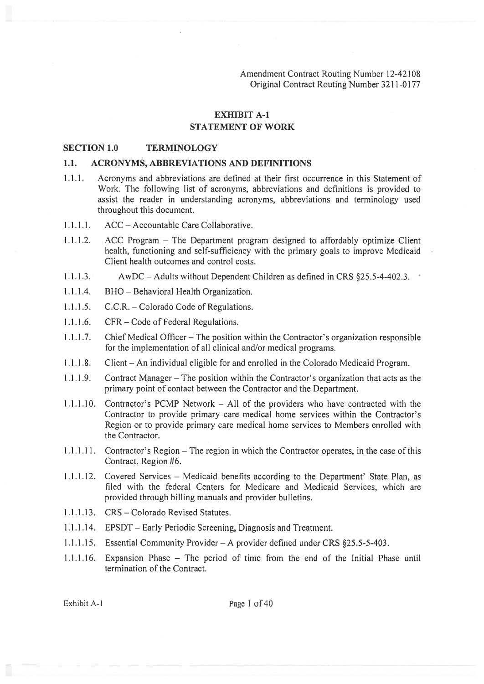Amendment Contract Routing Number 12-42 108 Original Contract Routing Number 3211-0177

### EXHIBIT A-i

# STATEMENT OF WORK

#### SECTION 1.0 TERMINOLOGY

#### 1.1. ACRONYMS, ABBREVIATIONS AND DEFINITIONS

- 1.1.1. Acronyms and abbreviations are defined at their first occurrence in this Statement of Work. The following list of acronyms, abbreviations and definitions is provided to assist the reader in understanding acronyms, abbreviations and terminology used throughout this document.
- 1 .1.1.1. ACC Accountable Care Collaborative.
- 1.1.1.2. ACC Program The Department program designed to affordably optimize Client health, functioning and self-sufficiency with the primary goals to improve Medicaid Client health outcomes and control costs.
- 1.1.1.3. AwDC —Adults without Dependent Children as defined in CRS §25.5-4-402.3.
- 1.1.1.4. BHO Behavioral Health Organization.
- 1.1.1.5. C.C.R. Colorado Code of Regulations.
- 1.1.1.6. CFR Code of Federal Regulations.
- 1.1.1.7. Chief Medical Officer—The position within the Contractor's organization responsible for the implementation of all clinical and/or medical programs.
- 1.1.1.8. Client An individual eligible for and enrolled in the Colorado Medicaid Program.
- 1 .1.1.9. Contract Manager The position within the Contractor's organization that acts as the primary point of contact between the Contractor and the Department.
- 1.1.1.10. Contractor's PCMP Network All of the providers who have contracted with the Contractor to provide primary care medical home services within the Contractor's Region or to provide primary care medical home services to Members enrolled with the Contractor.
- 1.1.1.11. Contractor's Region The region in which the Contractor operates, in the case ofthis Contract, Region #6.
- 1.1.1.12. Covered Services Medicaid benefits according to the Department' State Plan, as filed with the federal Centers for Medicare and Medicaid Services, which are provided through billing manuals and provider bulletins.
- 1.1.1.13. CRS Colorado Revised Statutes.
- 1.1.1.14. EPSDT— Early Periodic Screening, Diagnosis and Treatment.
- 1.1.1.15. Essential Community Provider A provider defined under CRS §25.5-5-403.
- 1.1.1.16. Expansion Phase The period of time from the end of the Initial Phase until termination of the Contract.

Exhibit A-1 Page 1 of 40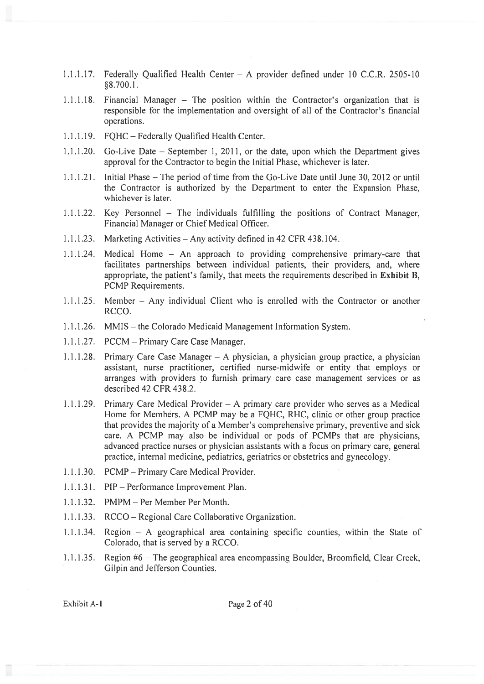- 1.1.1.17. Federally Qualified Health Center A provider defined under 10 C.C.R. 2505-10 §8.700.1.
- 1.1.1.18. Financial Manager The position within the Contractor's organization that is responsible for the implementation and oversight of all of the Contractor's financial operations.
- 1.1.1.19. FQHC Federally Qualified Health Center.
- 1.1.1.20. Go-Live Date September 1, 2011, or the date, upon which the Department gives approval for the Contractor to begin the Initial Phase, whichever is later.
- 1.1.1.21. Initial Phase The period of time from the Go-Live Date until June 30, 2012 or until the Contractor is authorized by the Department to enter the Expansion Phase, whichever is later.
- 1.1.1.22. Key Personnel The individuals fulfilling the positions of Contract Manager, Financial Manager or Chief Medical Officer.
- 1.1.1.23. Marketing Activities Any activity defined in 42 CFR 438.104.
- 1.1.1.24. Medical Home An approach to providing comprehensive primary-care that facilitates partnerships between individual patients, their providers, and, where appropriate, the patient's family, that meets the requirements described in Exhibit B, PCMP Requirements.
- 1.1.1.25. Member Any individual Client who is enrolled with the Contractor or another RCCO.
- 1.1 .1.26. MMIS the Colorado Medicaid Management Information System.
- 1 .1 .1 .27. PCCM Primary Care Case Manager.
- 1.1.1.28. Primary Care Case Manager A physician, <sup>a</sup> physician group practice, <sup>a</sup> physician assistant, nurse practitioner, certified nurse-midwife or entity that employs or arranges with providers to furnish primary care case managemen<sup>t</sup> services or as described 42 CFR 438.2.
- 1 .1 .1 .29. Primary Care Medical Provider A primary care provider who serves as <sup>a</sup> Medical Home for Members. A PCMP may be a FOHC, RHC, clinic or other group practice that provides the majority of <sup>a</sup> Member's comprehensive primary, preventive and sick care. A PCMP may also be individual or pods of PCMPs that are physicians, advanced practice nurses or physician assistants with <sup>a</sup> focus on primary care, general practice, internal medicine, pediatrics, geriatrics or obstetrics and gynecology.
- 1.1.1.30. PCMP—Primary Care Medical Provider.
- 1.1 .1 .31. PIP Performance Improvement Plan.
- 1.1.1.32. PMPM Per Member Per Month.
- 1.1.1.33. RCCO Regional Care Collaborative Organization.
- 1.1.1.34. Region A geographical area containing specific counties, within the State of Colorado, that is served by <sup>a</sup> RCCO.
- 1,1.1.35. Region #6 —The geographical area encompassing Boulder, Broomfield, Clear Creek, Gilpin and Jefferson Counties.

Exhibit A-1 Page 2 of 40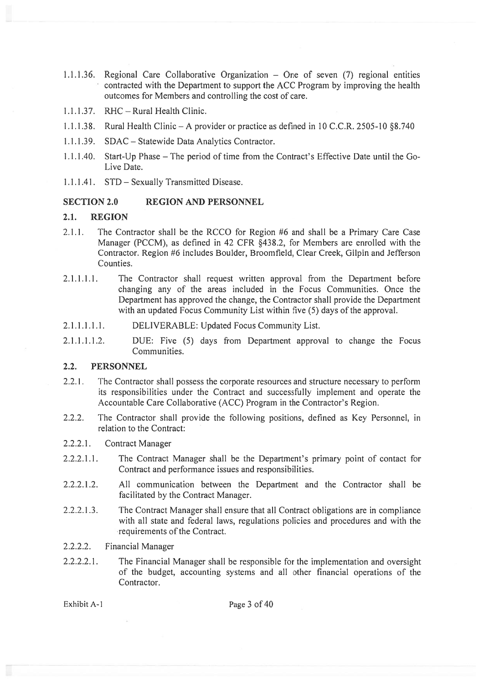- 1.1.1.36. Regional Care Collaborative Organization One of seven (7) regional entities contracted with the Department to suppor<sup>t</sup> the ACC Program by improving the health outcomes for Members and controlling the cost of care.
- 1.1.1.37. RHC Rural Health Clinic.
- 1.1.1.38. Rural Health Clinic A provider or practice as defined in 10 C.C.R. 2505-10 §8.740
- 1 .1 .1.39. SDAC Statewide Data Analytics Contractor.
- 1.1.1.40. Start-Up Phase The period of time from the Contract's Effective Date until the Go-Live Date.
- 1.1.1.41. STD Sexually Transmitted Disease.

### SECTION 2.0 REGION AND PERSONNEL

#### 2.1. REGION

- 2.1.1. The Contractor shall be the RCCO for Region #6 and shall be <sup>a</sup> Primary Care Case Manager (PCCM), as defined in 42 CFR §438.2, for Members are enrolled with the Contractor. Region #6 includes Boulder, Broomfield, Clear Creek, Gilpin and Jefferson Counties.
- 2.1.1.1.1. The Contractor shall reques<sup>t</sup> written approval from the Department before changing any of the areas included in the Focus Communities. Once the Department has approved the change, the Contractor shall provide the Department with an updated Focus Community List within five (5) days of the approval.
- 2.1.1.1.1.1. DELIVERABLE: Updated Focus Community List.
- 2.1.1.1.1.2. DUE: Five (5) days from Department approval to change the Focus Communities.

#### 2.2. PERSONNEL

- 2.2.1. The Contractor shall possess the corporate resources and structure necessary to perform its responsibilities under the Contract and successfully implement and operate the Accountable Care Collaborative (ACC) Program in the Contractor's Region.
- 2.2.2. The Contractor shall provide the following positions, defined as Key Personnel, in relation to the Contract:
- 2.2.2.1. Contract Manager
- 2.2.2.1.1. The Contract Manager shall be the Department's primary point of contact for Contract and performance issues and responsibilities.
- 2.2.2.1.2. All communication between the Department and the Contractor shall be facilitated by the Contract Manager.
- 2.2.2.1.3. The Contract Manager shall ensure that all Contract obligations are in compliance with all state and federal laws, regulations policies and procedures and with the requirements of the Contract.
- 2.2.2.2. Financial Manager
- 2.2.2.2.1. The Financial Manager shall be responsible for the implementation and oversight of the budget, accounting systems and all other financial operations of the Contractor.

Exhibit A-1 Page 3 of 40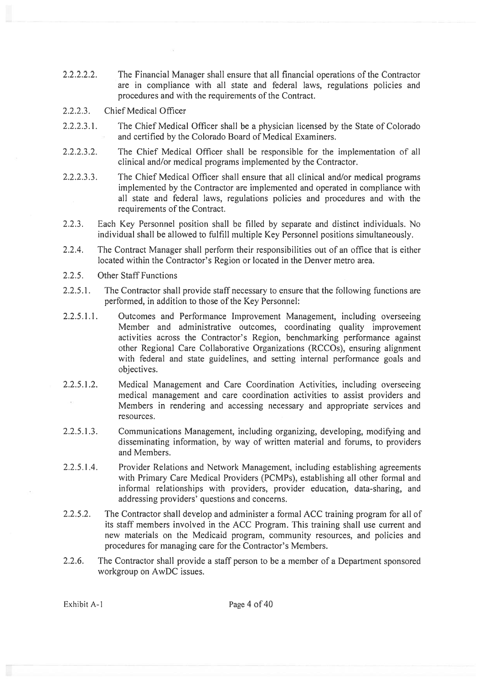- 2.2.2.2.2. The Financial Manager shall ensure that all financial operations of the Contractor are in compliance with all state and federal laws, regulations policies and procedures and with the requirements of the Contract.
- 2.2.2.3. Chief Medical Officer
- 2.2.2.3.1. The Chief Medical Officer shall be <sup>a</sup> physician licensed by the State of Colorado and certified by the Colorado Board of Medical Examiners.
- 2.2.2.3.2. The Chief Medical Officer shall be responsible for the implementation of all clinical and/or medical programs implemented by the Contractor.
- 2.2.2.3.3. The Chief Medical Officer shall ensure that all clinical and/or medical programs implemented by the Contractor are implemented and operated in compliance with all state and federal laws, regulations policies and procedures and with the requirements of the Contract.
- 2.2.3. Each Key Personnel position shall be filled by separate and distinct individuals. No individual shall be allowed to fulfill multiple Key Personnel positions simultaneously.
- 2.2.4. The Contract Manager shall perform their responsibilities out of an office that is either located within the Contractor's Region or located in the Denver metro area.
- 2.2.5. Other Staff Functions
- 2.2.5.1. The Contractor shall provide staff necessary to ensure that the following functions are performed, in addition to those of the Key Personnel:
- 2.2.5.1.1. Outcomes and Performance Improvement Management, including overseeing Member and administrative outcomes, coordinating quality improvement activities across the Contractor's Region, benchmarking performance against other Regional Care Collaborative Organizations (RCCOs), ensuring alignment with federal and state guidelines, and setting internal performance goals and objectives.
- 2.2.5.1.2. Medical Management and Care Coordination Activities, including overseeing medical managemen<sup>t</sup> and care coordination activities to assist providers and Members in rendering and accessing necessary and appropriate services and resources.
- 2.2.5.1.3. Communications Management, including organizing, developing, modifying and disseminating information, by way of written material and forums, to providers and Members.
- 2.2.5.1.4. Provider Relations and Network Management, including establishing agreements with Primary Care Medical Providers (PCMPs), establishing all other formal and informal relationships with providers, provider education, data-sharing, and addressing providers' questions and concerns.
- 2.2.5.2. The Contractor shall develop and administer <sup>a</sup> formal ACC training program for all of its staff members involved in the ACC Program. This training shall use current and new materials on the Medicaid program, community resources, and policies and procedures for managing care for the Contractor's Members.
- 2.2.6. The Contractor shall provide <sup>a</sup> staff person to be <sup>a</sup> member of <sup>a</sup> Department sponsored workgroup on AwDC issues.

Exhibit A-1 Page 4 of 40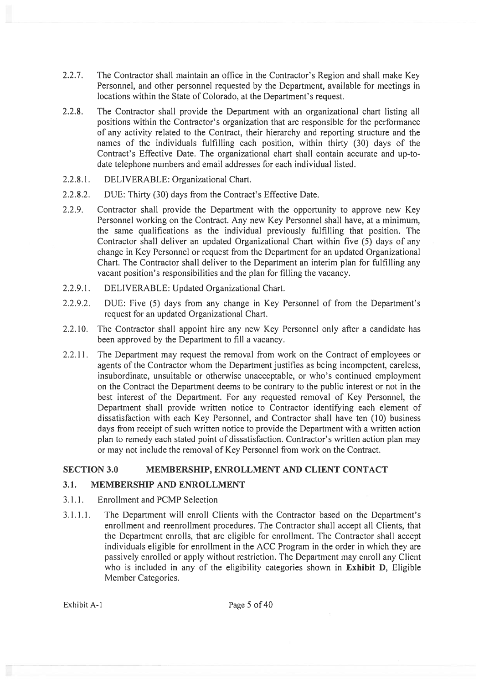- 2.2.7. The Contractor shall maintain an office in the Contractor's Region and shall make Key Personnel, and other personnel requested by the Department, available for meetings in locations within the State of Colorado, at the Department's request.
- 2.2.8. The Contractor shall provide the Department with an organizational chart listing all positions within the Contractor's organization that are responsible for the performance of any activity related to the Contract, their hierarchy and reporting structure and the names of the individuals fulfilling each position, within thirty (30) days of the Contract's Effective Date. The organizational chart shall contain accurate and up-todate telephone numbers and email addresses for each individual listed.
- 2.2.8.1. DELIVERABLE: Organizational Chart.
- 2.2.8.2. DUE: Thirty (30) days from the Contract's Effective Date.
- 2.2.9. Contractor shall provide the Department with the opportunity to approve new Key Personnel working on the Contract. Any new Key Personnel shall have, at <sup>a</sup> minimum, the same qualifications as the individual previously fulfilling that position. The Contractor shall deliver an updated Organizational Chart within five (5) days of any change in Key Personnel or reques<sup>t</sup> from the Department for an updated Organizational Chart. The Contractor shall deliver to the Department an interim plan for fulfilling any vacant position's responsibilities and the plan for filling the vacancy.
- 2.2.9.1. DELIVERABLE: Updated Organizational Chart.
- 2.2.9.2. DUE: Five (5) days from any change in Key Personnel of from the Department's reques<sup>t</sup> for an updated Organizational Chart.
- 2.2.10. The Contractor shall appoint hire any new Key Personnel only after <sup>a</sup> candidate has been approved by the Department to fill <sup>a</sup> vacancy.
- 2.2.11. The Department may request the removal from work on the Contract of employees or agents of the Contractor whom the Department justifies as being incompetent, careless, insubordinate, unsuitable or otherwise unacceptable, or who's continued employment on the Contract the Department deems to be contrary to the public interest or not in the best interest of the Department. For any requested removal of Key Personnel, the Department shall provide written notice to Contractor identifying each element of dissatisfaction with each Key Personnel, and Contractor shall have ten (10) business days from receipt of such written notice to provide the Department with <sup>a</sup> written action plan to remedy each stated point of dissatisfaction. Contractor's written action plan may or may not include the removal of Key Personnel from work on the Contract.

# SECTION 3.0 MEMBERSHIP, ENROLLMENT AND CLIENT CONTACT

# 3.1. MEMBERSHIP AND ENROLLMENT

- 3.1.1. Enrollment and PCMP Selection
- 3.1.1.1. The Department will enroll Clients with the Contractor based on the Department's enrollment and reenrollment procedures. The Contractor shall accep<sup>t</sup> all Clients, that the Department enrolls, that are eligible for enrollment. The Contractor shall accep<sup>t</sup> individuals eligible for enrollment in the ACC Program in the order in which they are passively enrolled or apply without restriction. The Department may enroll any Client who is included in any of the eligibility categories shown in **Exhibit D**, Eligible Member Categories.

Exhibit A-1 Page 5 of 40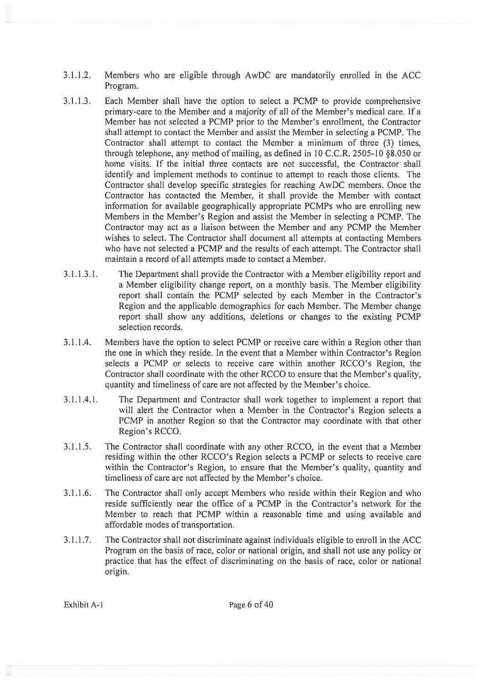- 3.1.1.2. Members who are eligible through AwDC are mandatorily enrolled in the ACC Program.
- 3.1.1.3. Each Member shall have the option to select <sup>a</sup> PCMP to provide comprehensive primary-care to the Member and <sup>a</sup> majority of all of the Member's medical care. If <sup>a</sup> Member has not selected <sup>a</sup> PCMP prior to the Member's enrollment, the Contractor shall attempt to contact the Member and assist the Member in selecting <sup>a</sup> PCMP. The Contractor shall attempt to contact the Member <sup>a</sup> minimum of three (3) times, through telephone, any method of mailing, as defined in 10 C.C.R. 2505-10 §8.050 or home visits. If the initial three contacts are not successful, the Contractor shall identify and implement methods to continue to attempt to reach those clients. The Contractor shall develop specific strategies for reaching AwDC members. Once the Contractor has contacted the Member, it shall provide the Member with contact information for available geographically appropriate PCMPs who are enrolling new Members in the Member's Region and assist the Member in selecting <sup>a</sup> PCMP. The Contractor may act as <sup>a</sup> liaison between the Member and any PCMP the Member wishes to select. The Contractor shall document all attempts at contacting Members who have not selected <sup>a</sup> PCMP and the results of each attempt. The Contractor shall maintain <sup>a</sup> record of all attempts made to contact <sup>a</sup> Member.
- 3.1.1.3.1. The Department shall provide the Contractor with <sup>a</sup> Member eligibility repor<sup>t</sup> and <sup>a</sup> Member eligibility change report, on <sup>a</sup> monthly basis. The Member eligibility repor<sup>t</sup> shall contain the PCMP selected by each Member in the Contractor's Region and the applicable demographics for each Member. The Member change repor<sup>t</sup> shall show any additions, deletions or changes to the existing PCMP selection records.
- 3.1.1.4. Members have the option to select PCMP or receive care within <sup>a</sup> Region other than the one in which they reside. In the event that <sup>a</sup> Member within Contractor's Region selects <sup>a</sup> PCMP or selects to receive care within another RCCO's Region, the Contractor shall coordinate with the other RCCO to ensure that the Member's quality, quantity and timeliness of care are not affected by the Member's choice.
- 3.1.1.4.1. The Department and Contractor shall work together to implement <sup>a</sup> repor<sup>t</sup> that will alert the Contractor when <sup>a</sup> Member in the Contractor's Region selects <sup>a</sup> PCMP in another Region so that the Contractor may coordinate with that other Region's RCCO.
- 3.1.1.5. The Contractor shall coordinate with any other RCCO, in the event that <sup>a</sup> Member residing within the other RCCO's Region selects <sup>a</sup> PCMP or selects to receive care within the Contractor's Region, to ensure that the Member's quality, quantity and timeliness of care are not affected by the Member's choice.
- 3.1.1.6. The Contractor shall only accep<sup>t</sup> Members who reside within their Region and who reside sufficiently near the office of <sup>a</sup> PCMP in the Contractor's network for the Member to reach that PCMP within <sup>a</sup> reasonable time and using available and affordable modes of transportation.
- 3.1.1.7. The Contractor shall not discriminate against individuals eligible to enroll in the ACC Program on the basis of race, color or national origin, and shall not use any policy or practice that has the effect of discriminating on the basis of race, color or national origin.

Exhibit A-1 Page 6 of 40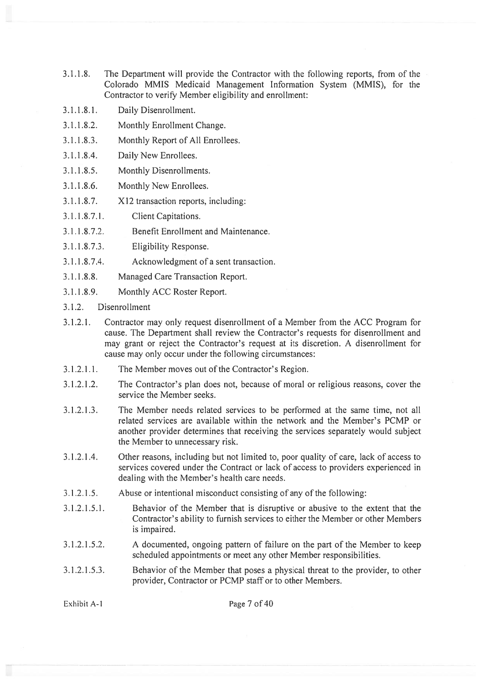- 3.1.1.8. The Department will provide the Contractor with the following reports, from of the Colorado MMIS Medicaid Management Information System (MMIS), for the Contractor to verify Member eligibility and enrollment:
- 3.1.1 .8.1. Daily Disenrollment.
- 3.1.1.8.2. Monthly Enrollment Change.
- 3.1.1.8.3. Monthly Report of All Enrollees.
- 3.1.1.8.4. Daily New Enrollees.
- 3.1.1.8.5. Monthly Disenrollments.
- 3.1.1.8.6. Monthly New Enrollees.
- 3.1.1.8.7. X12 transaction reports, including:
- 3.1.1.8.7.1. Client Capitations.
- 3.1.1.8.7.2. Benefit Enrollment and Maintenance.
- 3.1.1.8.7.3. Eligibility Response.
- 3.1.1.8.7.4. Acknowledgment of <sup>a</sup> sent transaction.
- 3.1.1.8.8. Managed Care Transaction Report.
- 3.1.1.8.9. Monthly ACC Roster Report.
- 3.1.2. Disenrollment
- 3.1.2.1. Contractor may only reques<sup>t</sup> disenrollment of <sup>a</sup> Member from the ACC Program for cause. The Department shall review the Contractor's requests for disenrollment and may gran<sup>t</sup> or reject the Contractor's reques<sup>t</sup> at its discretion. A disenrollment for cause may only occur under the following circumstances:
- 3.1.2.1.1. The Member moves out of the Contractor's Region.
- 3.1.2.1.2. The Contractor's plan does not, because of moral or religious reasons, cover the service the Member seeks.
- 3.1.2.1.3. The Member needs related services to be performed at the same time, not all related services are available within the network and the Member's PCMP or another provider determines that receiving the services separately would subject the Member to unnecessary risk.
- 3.1.2.1.4. Other reasons, including but not limited to, poor quality of care, lack of access to services covered under the Contract or lack of access to providers experienced in dealing with the Member's health care needs.
- 3.1.2.1.5. Abuse or intentional misconduct consisting of any of the following:
- 3.1.2.1.5.1. Behavior of the Member that is disruptive or abusive to the extent that the Contractor's ability to furnish services to either the Member or other Members is impaired.
- 3.1.2.1.5.2. A documented, ongoing pattern of failure on the par<sup>t</sup> of the Member to keep scheduled appointments or meet any other Member responsibilities.
- 3.1.2.1.5.3. Behavior of the Member that poses <sup>a</sup> physical threat to the provider, to other provider, Contractor or PCMP staff or to other Members.

Exhibit A-1 Page 7 of 40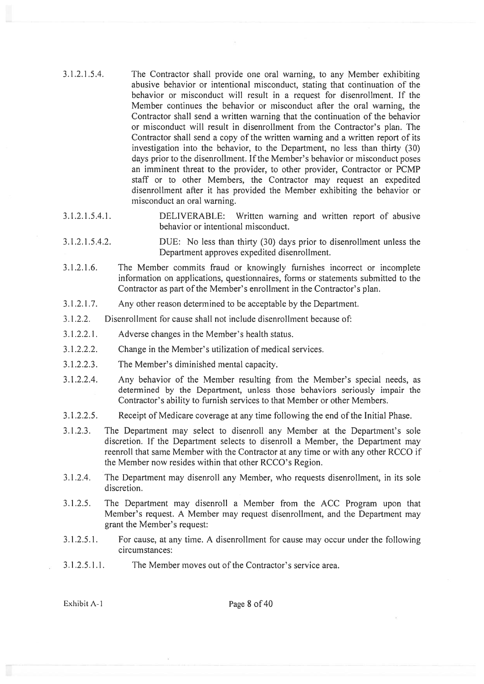- 3.1.2.1.5.4. The Contractor shall provide one oral warning, to any Member exhibiting abusive behavior or intentional misconduct, stating that continuation of the behavior or misconduct will result in <sup>a</sup> reques<sup>t</sup> for disenroliment. If the Member continues the behavior or misconduct after the oral warning, the Contractor shall send <sup>a</sup> written warning that the continuation of the behavior or misconduct will result in disenrollment from the Contractor's plan. The Contractor shall send <sup>a</sup> copy of the written warning and <sup>a</sup> written repor<sup>t</sup> of its investigation into the behavior, to the Department, no less than thirty (30) days prior to the disenrollment. If the Member's behavior or misconduct poses an imminent threat to the provider, to other provider, Contractor or PCMP staff or to other Members, the Contractor may reques<sup>t</sup> an expedited disenroliment after it has provided the Member exhibiting the behavior or misconduct an oral warning.
- 3.1.2.1.5.4.1. DELIVERABLE: Written warning and written repor<sup>t</sup> of abusive behavior or intentional misconduct.
- 3.1.2.1.5.4.2. DUE: No less than thirty (30) days prior to disenroilment unless the Department approves expedited disenroilment.
- 3.1.2.1.6. The Member commits fraud or knowingly furnishes incorrect or incomplete information on applications, questionnaires, forms or statements submitted to the Contractor as par<sup>t</sup> of the Member's enrollment in the Contractor's plan.
- 3.1 .2.1 .7. Any other reason determined to be acceptable by the Department.
- 3.1 .2.2. Disenrollment for cause shall not include disenroilment because of:
- 3.1.2.2.1. Adverse changes in the Member's health status.
- 3.1.2.2.2. Change in the Member's utilization of medical services.
- 3.1.2.2.3. The Member's diminished mental capacity.
- 3.1.2.2.4. Any behavior of the Member resulting from the Member's special needs, as determined by the Department, unless those behaviors seriously impair the Contractor's ability to furnish services to that Member or other Members.
- 3.1.2.2.5. Receipt of Medicare coverage at any time following the end of the Initial Phase.
- 3.1.2.3. The Department may select to disenroll any Member at the Department's sole discretion. If the Department selects to disenroll <sup>a</sup> Member, the Department may reenroll that same Member with the Contractor at any time or with any other RCCO if the Member now resides within that other RCCO's Region.
- 3.1.2.4. The Department may disenroll any Member, who requests disenroliment, in its sole discretion.
- 3.1.2.5. The Department may disenroll <sup>a</sup> Member from the ACC Program upon that Member's request. A Member may reques<sup>t</sup> disenrollment, and the Department may gran<sup>t</sup> the Member's request:
- 3.1.2.5.1. For cause, at any time. A disenroliment for cause may occur under the following circumstances:
- 3.1 .2.5.1.1. The Member moves out of the Contractor's service area.

Exhibit A-1 Page 8 of 40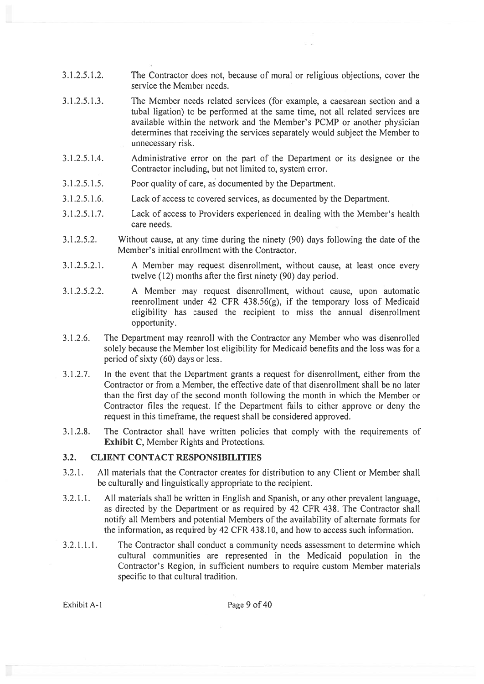- 3.1.2.5.1.3. The Member needs related services (for example, <sup>a</sup> caesarean section and <sup>a</sup> tubal ligation) to be performed at the same time, not all related services are available within the network and the Member's PCMP or another physician determines that receiving the services separately would subject the Member to unnecessary risk.
- 3.1.2.5.1.4. Administrative error on the par<sup>t</sup> of the Department or its designee or the Contractor including, but not limited to, system error.
- 3.1.2.5.1.5. Poor quality of care, as documented by the Department.
- 3.1.2.5.1.6. Lack of access to covered services, as documented by the Department.
- 3.1.2.5.1.7. Lack of access to Providers experienced in dealing with the Member's health care needs.
- 3.1.2.5.2. Without cause, at any time during the ninety (90) days following the date of the Member's initial enrollment with the Contractor.
- 3.1.2.5.2.1. A Member may reques<sup>t</sup> disenrollment, without cause, at least once every twelve (12) months after the first ninety (90) day period.
- 3.1.2.5.2.2. A Member may reques<sup>t</sup> disenrollrnent, without cause, upon automatic reenrollment under 42 CFR 438.56(g), if the temporary loss of Medicaid eligibility has caused the recipient to miss the annual disenrollment opportunity.
- 3.1.2.6. The Department may reenroll with the Contractor any Member who was disenrolled solely because the Member lost eligibility for Medicaid benefits and the loss was for <sup>a</sup> period of sixty (60) days or less.
- 3.1.2.7. In the event that the Department grants <sup>a</sup> reques<sup>t</sup> for disenrollment, either from the Contractor or from a Member, the effective date of that disenrollment shall be no later than the first day of the second month following the month in which the Member or Contractor files the request. If the Department fails to either approve or deny the reques<sup>t</sup> in this timeframe, the reques<sup>t</sup> shall be considered approved.
- 3.1.2.8. The Contractor shall have written policies that comply with the requirements of Exhibit C, Member Rights and Protections.

# 3.2. CLIENT CONTACT RESPONSIBILITIES

- 3.2.1. All materials that the Contractor creates for distribution to any Client or Member shall be culturally and linguistically appropriate to the recipient.
- 3.2.1.1. All materials shall be written in English and Spanish, or any other prevalent language, as directed by the Department or as required by 42 CFR 438. The Contractor shall notify all Members and potential Members of the availability of alternate formats for the information, as required by 42 CFR 438.10, and how to access such information.
- 3.2.1.1.1. The Contractor shall conduct <sup>a</sup> community needs assessment to determine which cultural communities are represented in the Medicaid population in the Contractor's Region, in sufficient numbers to require custom Member materials specific to that cultural tradition.

Exhibit A-1 Page 9 of 40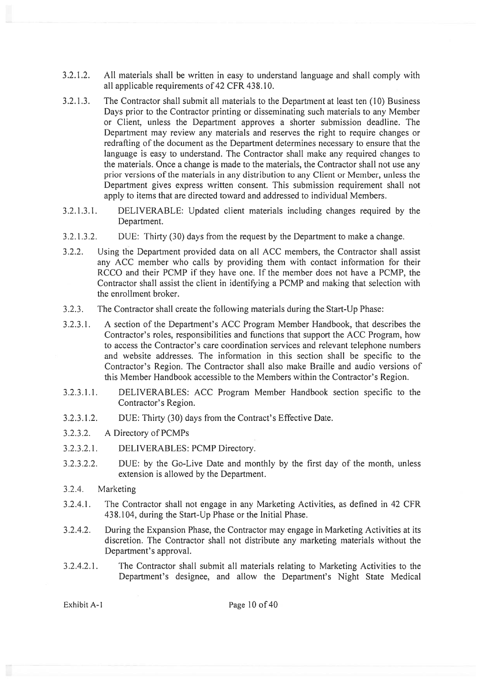- 3.2.1.2. All materials shall be written in easy to understand language and shall comply with all applicable requirements of 42 CFR 438.10.
- 3.2.1.3. The Contractor shall submit all materials to the Department at least ten (10) Business Days prior to the Contractor printing or disseminating such materials to any Member or Client, unless the Department approves <sup>a</sup> shorter submission deadline. The Department may review any materials and reserves the right to require changes or redrafling of the document as the Department determines necessary to ensure that the language is easy to understand. The Contractor shall make any required changes to the materials. Once <sup>a</sup> change is made to the materials, the Contractor shall not use any prior versions of the materials in any distribution to any Client or Member, unless the Department gives express written consent. This submission requirement shall not apply to items that are directed toward and addressed to individual Members.
- 3.2.1.3.1. DELIVERABLE: Updated client materials including changes required by the Department.
- 3.2.1.3.2. DUE: Thirty (30) days from the reques<sup>t</sup> by the Department to make <sup>a</sup> change.
- 3.2.2. Using the Department provided data on all ACC members, the Contractor shall assist any ACC member who calls by providing them with contact information for their RCCO and their PCMP if they have one. If the member does not have <sup>a</sup> PCMP, the Contractor shall assist the client in identifying <sup>a</sup> PCMP and making that selection with the enrollment broker.
- 3.2.3. The Contractor shall create the following materials during the Start-Up Phase:
- 3.2.3.1. A section of the Department's ACC Program Member Handbook, that describes the Contractor's roles, responsibilities and functions that suppor<sup>t</sup> the ACC Program, how to access the Contractor's care coordination services and relevant telephone numbers and website addresses. The information in this section shall be specific to the Contractor's Region. The Contractor shall also make Braille and audio versions of this Member Handbook accessible to the Members within the Contractor's Region.
- 3.2.3.1.1. DELIVERABLES: ACC Program Member Handbook section specific to the Contractor's Region.
- 3.2.3.1.2. DUE: Thirty (30) days from the Contract's Effective Date.
- 3.2.3.2. A Directory of PCMPs
- 3.2.3.2.1. DELIVERABLES: PCMP Directory.
- 3.2.3.2.2. DUE: by the Go-Live Date and monthly by the first day of the month, unless extension is allowed by the Department.
- 3.2.4. Marketing
- 3.2.4.1. The Contractor shall not engage in any Marketing Activities, as defined in 42 CFR 438.104, during the Start-Up Phase or the Initial Phase.
- 3.2.4.2. During the Expansion Phase, the Contractor may engage in Marketing Activities at its discretion. The Contractor shall not distribute any marketing materials without the Department's approval.
- 3.2.4.2.1. The Contractor shall submit all materials relating to Marketing Activities to the Department's designee, and allow the Department's Night State Medical

Exhibit A-1 Page 10 of 40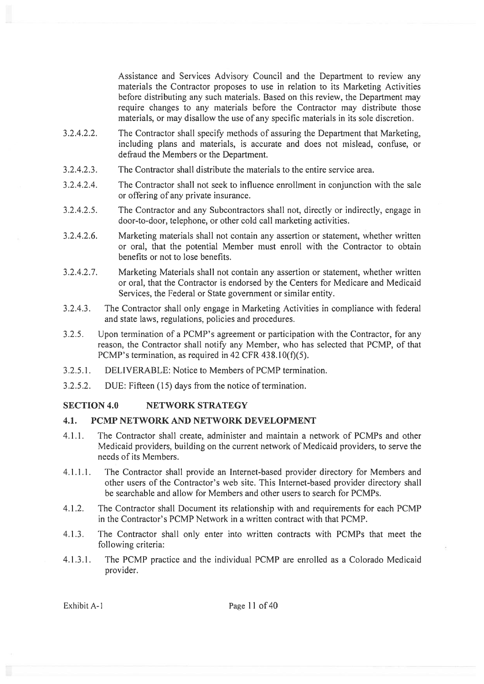Assistance and Services Advisory Council and the Department to review any materials the Contractor proposes to use in relation to its Marketing Activities before distributing any such materials. Based on this review, the Department may require changes to any materials before the Contractor may distribute those materials, or may disallow the use of any specific materials in its sole discretion.

- 3.2.4.2.2. The Contractor shall specify methods of assuring the Department that Marketing, including plans and materials, is accurate and does not mislead, confuse, or defraud the Members or the Department.
- 3.2.4.2.3. The Contractor shall distribute the materials to the entire service area.
- 3.2.4.2.4. The Contractor shall not seek to influence enrollment in conjunction with the sale or offering of any private insurance.
- 3.2.4.2.5. The Contractor and any Subcontractors shall not, directly or indirectly, engage in door-to-door, telephone, or other cold call marketing activities.
- 3.2.4.2.6. Marketing materials shall not contain any assertion or statement, whether written or oral, that the potential Member must enroll with the Contractor to obtain benefits or not to lose benefits.
- 3.2.4.2.7. Marketing Materials shall not contain any assertion or statement, whether written or oral, that the Contractor is endorsed by the Centers for Medicare and Medicaid Services, the Federal or State governmen<sup>t</sup> or similar entity.
- 3.2.4.3. The Contractor shall only engage in Marketing Activities in compliance with federal and state laws, regulations, policies and procedures.
- 3.2.5. Upon termination of <sup>a</sup> PCMP's agreemen<sup>t</sup> or participation with the Contractor, for any reason, the Contractor shall notify any Member, who has selected that PCMP, of that PCMP's termination, as required in 42 CFR  $438.10(f)(5)$ .
- 3.2.5.1. DELIVERABLE: Notice to Members of PCMP termination.
- 3.2.5.2. DUE: Fifteen (15) days from the notice of termination.

### SECTION 4.0 NETWORK STRATEGY

#### 4.1. PCMP NETWORK AND NETWORK DEVELOPMENT

- 4.1.1. The Contractor shall create, administer and maintain <sup>a</sup> network of PCMPs and other Medicaid providers, building on the current network of Medicaid providers, to serve the needs of its Members.
- 4.1.1.1. The Contractor shall provide an Internet-based provider directory for Members and other users of the Contractor's web site. This Internet-based provider directory shall be searchable and allow for Members and other users to search for PCMPs.
- 4.1.2. The Contractor shall Document its relationship with and requirements for each PCMP in the Contractor's PCMP Network in <sup>a</sup> written contract with that PCMP.
- 4.1.3. The Contractor shall only enter into written contracts with PCMPs that meet the following criteria:
- 4.1.3.1. The PCMP practice and the individual PCMP are enrolled as <sup>a</sup> Colorado Medicaid provider.

Exhibit A-1 Page 11 of 40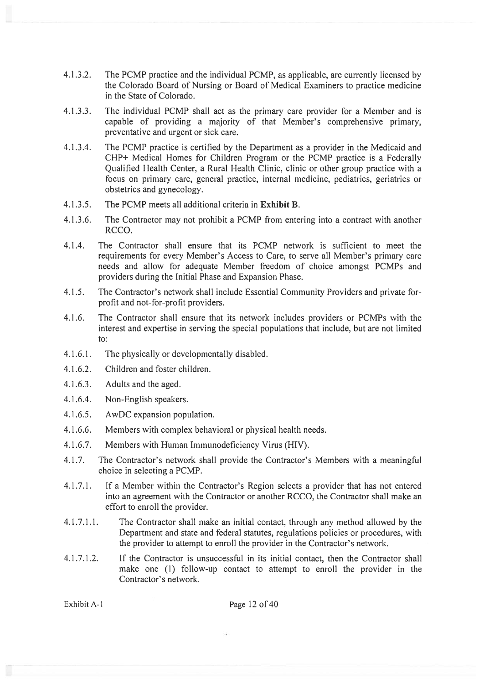- 4.1.3.2. The PCMP practice and the individual PCMP, as applicable, are currently licensed by the Colorado Board of Nursing or Board of Medical Examiners to practice medicine in the State of Colorado.
- 4.L3.3. The individual PCMP shall act as the primary care provider for <sup>a</sup> Member and is capable of providing <sup>a</sup> majority of that Member's comprehensive primary, preventative and urgen<sup>t</sup> or sick care.
- 4.1.3.4. The PCMP practice is certified by the Department as <sup>a</sup> provider in the Medicaid and CHP+ Medical Homes for Children Program or the PCMP practice is <sup>a</sup> Federally Qualified Health Center, <sup>a</sup> Rural Health Clinic, clinic or other group practice with <sup>a</sup> focus on primary care, general practice, internal medicine, pediatrics, geriatrics or obstetrics and gynecology.
- 4.1.3.5. The PCMP meets all additional criteria in Exhibit B.
- 4.1.3.6. The Contractor may not prohibit <sup>a</sup> PCMP from entering into <sup>a</sup> contract with another RCCO.
- 4.1.4. The Contractor shall ensure that its PCMP network is sufficient to meet the requirements for every Member's Access to Care, to serve all Member's primary care needs and allow for adequate Member freedom of choice amongs<sup>t</sup> PCMPs and providers during the Initial Phase and Expansion Phase.
- 4.1.5. The Contractor's network shall include Essential Community Providers and private forprofit and not-for-profit providers.
- 4.1 .6. The Contractor shall ensure that its network includes providers or PCMPs with the interest and expertise in serving the special populations that include, but are not limited to:
- 4.1.6.1. The physically or developmentally disabled.
- 4.1.6.2. Children and foster children.
- 4.1.6.3. Adults and the aged.
- 4.1.6.4. Non-English speakers.
- 4.1 .6.5. AwDC expansion population.
- 4.1 .6.6. Members with complex behavioral or physical health needs.
- 4.1.6.7. Members with Human Immunodeficiency Virus (HIV).
- 4.1.7. The Contractor's network shall provide the Contractor's Members with <sup>a</sup> meaningful choice in selecting <sup>a</sup> PCMP.
- 4.1.7.1. If <sup>a</sup> Member within the Contractor's Region selects <sup>a</sup> provider that has not entered into an agreemen<sup>t</sup> with the Contractor or another RCCO, the Contractor shall make an effort to enroll the provider.
- 4.1.7.1.1. The Contractor shall make an initial contact, through any method allowed by the Department and state and federal statutes, regulations policies or procedures, with the provider to attempt to enroll the provider in the Contractor's network.
- 4.1.7.1.2. If the Contractor is unsuccessful in its initial contact, then the Contractor shall make one (1) follow-up contact to attempt to enroll the provider in the Contractor's network.

Exhibit A-1 Page 12 of 40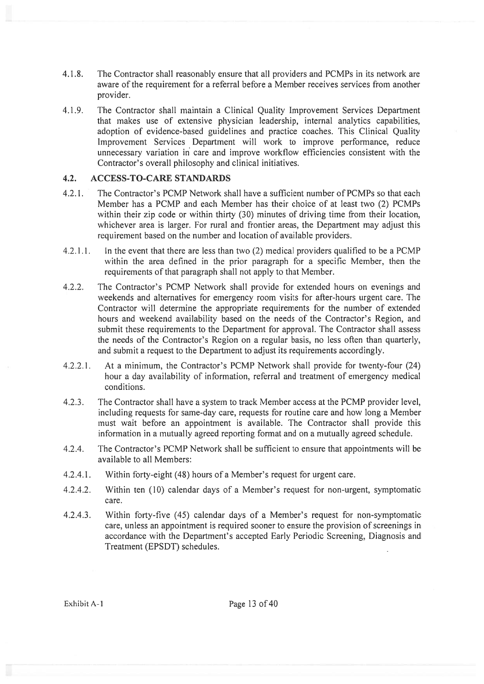- 4.1.8. The Contractor shall reasonably ensure that all providers and PCMPs in its network are aware of the requirement for <sup>a</sup> referral before <sup>a</sup> Member receives services from another provider.
- 4.1 .9. The Contractor shall maintain <sup>a</sup> Clinical Quality Improvement Services Department that makes use of extensive physician leadership, internal analytics capabilities, adoption of evidence-based guidelines and practice coaches. This Clinical Quality Improvement Services Department will work to improve performance, reduce unnecessary variation in care and improve workflow efficiencies consistent with the Contractor's overall philosophy and clinical initiatives.

### 4.2. ACCESS-TO-CARE STANDARDS

- 4.2.1. The Contractor's PCMP Network shall have <sup>a</sup> sufficient number of PCMPs so that each Member has <sup>a</sup> PCMP and each Member has their choice of at least two (2) PCMPs within their zip code or within thirty (30) minutes of driving time from their location, whichever area is larger. For rural and frontier areas, the Department may adjust this requirement based on the number and location of available providers.
- 4.2.1.1. In the event that there are less than two  $(2)$  medical providers qualified to be a PCMP within the area defined in the prior paragraph for <sup>a</sup> specific Member, then the requirements of that paragraph shall not apply to that Member.
- 4.2.2. The Contractor's PCMP Network shall provide for extended hours on evenings and weekends and alternatives for emergency room visits for after-hours urgen<sup>t</sup> care. The Contractor will determine the appropriate requirements for the number of extended hours and weekend availability based on the needs of the Contractor's Region, and submit these requirements to the Department for approval. The Contractor shall assess the needs of the Contractor's Region on <sup>a</sup> regular basis, no less often than quarterly, and submit <sup>a</sup> reques<sup>t</sup> to the Department to adjust its requirements accordingly.
- 4.2.2.1. At <sup>a</sup> minimum, the Contractor's PCMP Network shall provide for twenty-four (24) hour <sup>a</sup> day availability of information, referral and treatment of emergency medical conditions.
- 4.2.3. The Contractor shall have <sup>a</sup> system to track Member access at the PCMP provider level, including requests for same-day care, requests for routine care and how long <sup>a</sup> Member must wait before an appointment is available. The Contractor shall provide this information in <sup>a</sup> mutually agreed reporting format and on <sup>a</sup> mutually agreed schedule.
- 4.2.4. The Contractor's PCMP Network shall be sufficient to ensure that appointments will be available to all Members:
- 4.2.4.1. Within forty-eight (48) hours of <sup>a</sup> Member's reques<sup>t</sup> for urgen<sup>t</sup> care.
- 4.2.4.2. Within ten (10) calendar days of <sup>a</sup> Member's reques<sup>t</sup> for non-urgent, symptomatic care.
- 4.2.4.3. Within forty-five (45) calendar days of <sup>a</sup> Member's reques<sup>t</sup> for non-symptomatic care, unless an appointment is required sooner to ensure the provision of screenings in accordance with the Department's accepted Early Periodic Screening, Diagnosis and Treatment (EPSDT) schedules.

Exhibit A-1 Page 13 of 40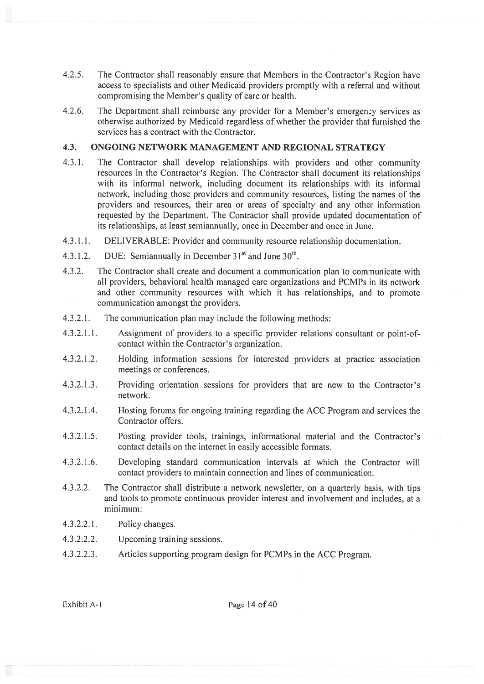- 4.2.5. The Contractor shall reasonably ensure that Members in the Contractor's Region have access to specialists and other Medicaid providers promptly with <sup>a</sup> referral and without compromising the Member's quality of care or health.
- 4.2.6. The Department shall reimburse any provider for a Member's emergency services as otherwise authorized by Medicaid regardless of whether the provider that furnished the services has <sup>a</sup> contract with the Contractor.

# 4.3. ONGOING NETWORK MANAGEMENT AND REGIONAL STRATEGY

- 4.3.1. The Contractor shall develop relationships with providers and other community resources in the Contractor's Region. The Contractor shall document its relationships with its informal network, including document its relationships with its informal network, including those providers and community resources, listing the names of the providers and resources, their area or areas of specialty and any other information requested by the Department. The Contractor shall provide updated documentation of its relationships, at least semiannually, once in December and once in June.
- 4.3.1 .1. DELIVERABLE: Provider and community resource relationship documentation.
- 4.3.1.2. DUE: Semiannually in December  $31<sup>st</sup>$  and June  $30<sup>th</sup>$ .
- 4.3.2. The Contractor shall create and document <sup>a</sup> communication plan to communicate with all providers, behavioral health managed care organizations and PCMPs in its network and other community resources with which it has relationships, and to promote communication amongst the providers.
- 4.3.2.1. The communication plan may include the following methods:
- 4.3.2.1.1. Assignment of providers to <sup>a</sup> specific provider relations consultant or point-ofcontact within the Contractor's organization.
- 4.3.2.1.2. Holding information sessions for interested providers at practice association meetings or conferences.
- 4.3.2.1.3. Providing orientation sessions for providers that are new to the Contractor's network.
- 4.3.2.1.4. Hosting forums for ongoing training regarding the ACC Program and services the Contractor offers.
- 4.3.2.1.5. Posting provider tools, trainings, informational material and the Contractor's contact details on the internet in easily accessible formats.
- 4.3.2.1.6. Developing standard communication intervals at which the Contractor will contact providers to maintain connection and lines of communication.
- 4.3.2.2. The Contractor shall distribute <sup>a</sup> network newsletter, on <sup>a</sup> quarterly basis, with tips and tools to promote continuous provider interest and involvement and includes, at <sup>a</sup> minimum:
- 4.3.2.2.1. Policy changes.
- 4.3.2.2.2. Upcoming training sessions.
- 4.3.2.2.3. Articles supporting program design for PCMPs in the ACC Program.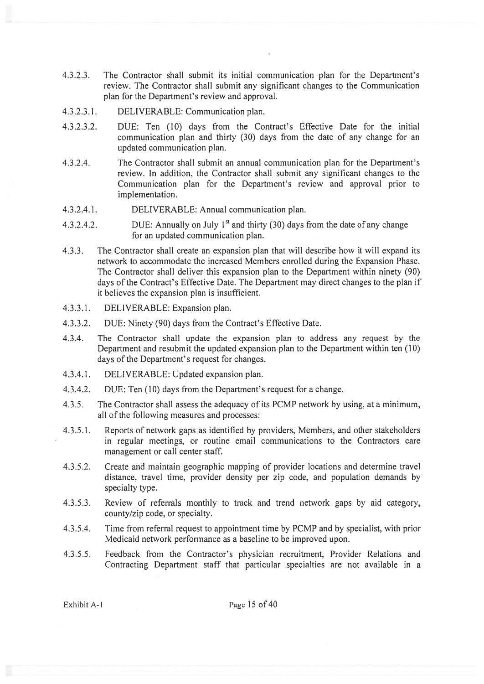- 4.3.2.3. The Contractor shall submit its initial communication plan for the Department's review. The Contractor shall submit any significant changes to the Communication plan for the Department's review and approval.
- 4.3.2.3.1. DELIVERABLE: Communication plan.
- 4.3.2.3.2. DUE: Ten (10) days from the Contract's Effective Date for the initial communication plan and thirty (30) days from the date of any change for an updated communication plan.
- 4.3.2.4. The Contractor shall submit an annual communication plan for the Department's review. In addition, the Contractor shall submit any significant changes to the Communication plan for the Department's review and approval prior to implementation.
- 4.3.2.4.1. DELIVERABLE: Annual communication plan.
- 4.3.2.4.2. DUE: Annually on July  $1<sup>st</sup>$  and thirty (30) days from the date of any change for an updated communication plan.
- 4.3.3. The Contractor shall create an expansion plan that will describe how it will expand its network to accommodate the increased Members enrolled during the Expansion Phase. The Contractor shall deliver this expansion plan to the Department within ninety (90) days of the Contract's Effective Date. The Department may direct changes to the plan if it believes the expansion plan is insufficient.
- 4.3.3.1. DELIVERABLE: Expansion plan.
- 4.3.3.2. DUE: Ninety (90) days from the Contract's Effective Date.
- 4.3.4. The Contractor shall update the expansion plan to address any reques<sup>t</sup> by the Department and resubmit the updated expansion plan to the Department within ten (10) days of the Department's request for changes.
- 4.3.4.1. DELIVERABLE: Updated expansion plan.
- 4.3.4.2. DUE: Ten (10) days from the Department's reques<sup>t</sup> for <sup>a</sup> change.
- 4.3.5. The Contractor shall assess the adequacy of its PCMP network by using, at <sup>a</sup> minimum, all of the following measures and processes:
- 4.3.5.1. Reports of network gaps as identified by providers, Members, and other stakeholders in regular meetings, or routine email communications to the Contractors care managemen<sup>t</sup> or call center staff.
- 4.3.5.2. Create and maintain geographic mapping of provider locations and determine travel distance, travel time, provider density per zip code, and population demands by specialty type.
- 4.3.5.3. Review of referrals monthly to track and trend network gaps by aid category, county/zip code, or specialty.
- 4.3.5.4. Time from referral reques<sup>t</sup> to appointment time by PCMP and by specialist, with prior Medicaid network performance as <sup>a</sup> baseline to be improved upon.
- 4.3.5.5. Feedback from the Contractor's physician recruitment, Provider Relations and Contracting Department staff that particular specialties are not available in <sup>a</sup>

Exhibit A-1 Page 15 of 40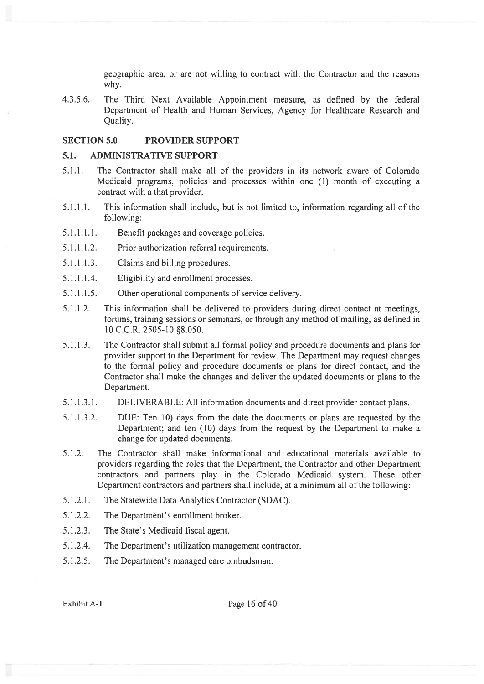geographic area, or are not willing to contract with the Contractor and the reasons why.

4.3.5.6. The Third Next Available Appointment measure, as defined by the federal Department of Health and Human Services, Agency for Healthcare Research and Quality.

### SECTION 5.0 PROVIDER SUPPORT

### 5.1. ADMINISTRATIVE SUPPORT

- 5.1.1. The Contractor shall make all of the providers in its network aware of Colorado Medicaid programs, policies and processes within one (1) month of executing <sup>a</sup> contract with <sup>a</sup> that provider.
- 5.1.1.1. This information shall include, but is not limited to, information regarding all of the following:
- 5.1.1.1.1. Benefit packages and coverage policies.
- 5.1.1.1.2. Prior authorization referral requirements.
- 5.1.1.1.3. Claims and billing procedures.
- 5.1.1.1.4. Eligibility and enrollment processes.
- 5.1.1.1.5. Other operational components of service delivery.
- 5.1.1.2. This information shall be delivered to providers during direct contact at meetings, forums, training sessions or seminars, or through any method of mailing, as defined in 10 C.C.R. 2505-10 §8.050.
- 5.1.1.3. The Contractor shall submit all formal policy and procedure documents and plans for provider suppor<sup>t</sup> to the Department for review. The Department may reques<sup>t</sup> changes to the formal policy and procedure documents or plans for direct contact, and the Contractor shall make the changes and deliver the updated documents or plans to the Department.
- 5.1.1.3.1. DELIVERABLE: All information documents and direct provider contact plans.
- 5.1.1.3.2. DUE: Ten 10) days from the date the documents or plans are requested by the Department; and ten (10) days from the reques<sup>t</sup> by the Department to make <sup>a</sup> change for updated documents.
- 5.1.2. The Contractor shall make informational and educational materials available to providers regarding the roles that the Department, the Contractor and other Department contractors and partners play in the Colorado Medicaid system. These other Department contractors and partners shall include, at <sup>a</sup> minimum all of the following:
- 5.1.2.1. The Statewide Data Analytics Contractor (SDAC).
- 5.1.2.2. The Department's enrollment broker.
- 5.1.2.3. The State's Medicaid fiscal agent.
- 5.1.2.4. The Department's utilization managemen<sup>t</sup> contractor.
- 5.1.2.5. The Department's managed care ombudsman.

Exhibit A-1 Page 16 of 40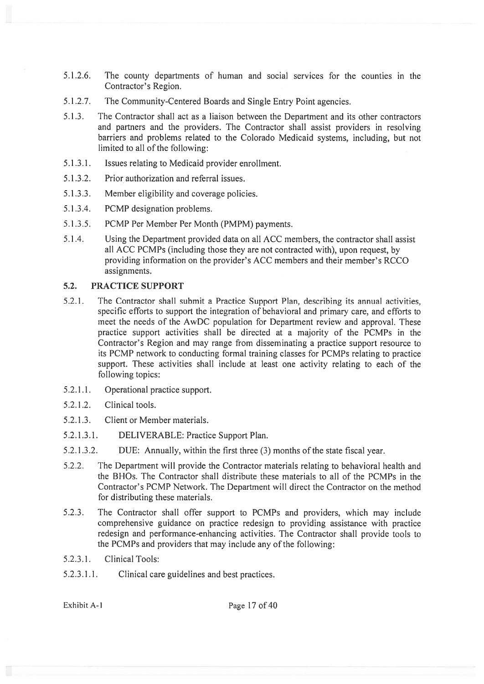- 5.1.2.6. The county departments of human and social services for the counties in the Contractor's Region.
- 5.1.2.7. The Community-Centered Boards and Single Entry Point agencies.
- 5.1.3. The Contractor shall act as <sup>a</sup> liaison between the Department and its other contractors and partners and the providers. The Contractor shall assist providers in resolving barriers and problems related to the Colorado Medicaid systems, including, but not limited to all of the following:
- 5.1.3.1. Issues relating to Medicaid provider enrollment.
- 5.1.3.2. Prior authorization and referral issues.
- 5.1.3.3. Member eligibility and coverage policies.
- 5.1.3.4. PCMP designation problems.
- 5.1.3.5. PCMP Per Member Per Month (PMPM) payments.
- 5.1.4. Using the Department provided data on all ACC members, the contractor shall assist all ACC PCMPs (including those they are not contracted with), upon request, by providing information on the provider's ACC members and their member's RCCO assignments.

# 5.2. PRACTICE SUPPORT

- 5.2.1. The Contractor shall submit <sup>a</sup> Practice Support Plan, describing its annual activities, specific efforts to suppor<sup>t</sup> the integration of behavioral and primary care, and efforts to meet the needs of the AwDC population for Department review and approval. These practice suppor<sup>t</sup> activities shall be directed at <sup>a</sup> majority of the PCMPs in the Contractor's Region and may range from disseminating <sup>a</sup> practice suppor<sup>t</sup> resource to its PCMP network to conducting formal training classes for PCMPs relating to practice support. These activities shall include at least one activity relating to each of the following topics:
- 5.2.1.1. Operational practice support.
- 5.2.1.2. Clinical tools.
- 5.2.1.3. Client or Member materials.
- 5.2.1.3.1. DELIVERABLE: Practice Support Plan.
- 5.2.1.3.2. DUE: Annually, within the first three (3) months of the state fiscal year.
- 5.2.2. The Department will provide the Contractor materials relating to behavioral health and the BHOs. The Contractor shall distribute these materials to all of the PCMPs in the Contractor's PCMP Network. The Department will direct the Contractor on the method for distributing these materials.
- 5.2.3. The Contractor shall offer suppor<sup>t</sup> to PCMPs and providers, which may include comprehensive guidance on practice redesign to providing assistance with practice redesign and performance-enhancing activities. The Contractor shall provide tools to the PCMPs and providers that may include any of the following:
- 5.2.3.1. Clinical Tools:
- 5.2.3.1.1. Clinical care guidelines and best practices.

Exhibit A-1 Page 17 of 40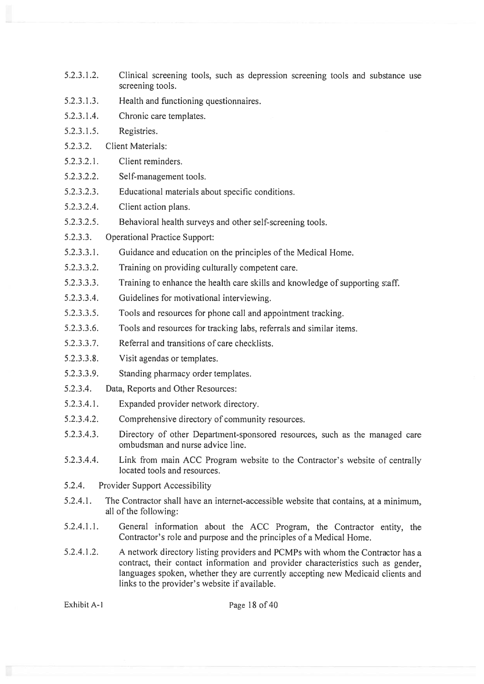- 5.2.3.1.2. Clinical screening tools, such as depression screening tools and substance use screening tools.
- 5.2.3.1.3. Health and functioning questionnaires.
- 5.2.3.1.4. Chronic care templates.
- 5.2.3.1.5. Registries.
- 5.2.3.2. Client Materials:
- 5.2.3.2.1. Client reminders.
- 5.2.3.2.2. Self-management tools.
- 5.2.3.2.3. Educational materials about specific conditions.
- 5.2.3.2.4. Client action plans.
- 5.2.3.2.5. Behavioral health surveys and other self-screening tools.
- 5.2.3.3. Operational Practice Support:
- 5.2.3.3.1. Guidance and education on the principles of the Medical Home.
- 5.2.3.3.2. Training on providing culturally competent care.
- 5.2.3.3.3. Training to enhance the health care skills and knowledge of supporting staff.
- 5.2.3.3.4. Guidelines for motivational interviewing.
- 5.2.3.3.5. Tools and resources for phone call and appointment tracking.
- 5.2.3.3.6. Tools and resources for tracking labs, referrals and similar items.
- 5.2.3.3.7. Referral and transitions of care checklists.
- 5.2.3.3.8. Visit agendas or templates.
- 5.2.3.3.9. Standing pharmacy order templates.
- 5.2.3.4. Data, Reports and Other Resources:
- 5.2.3.4.1. Expanded provider network directory.
- 5.2.3.4.2. Comprehensive directory of community resources.
- 5.2.3.4.3. Directory of other Department-sponsored resources, such as the managed care ombudsman and nurse advice line.
- 5.2.3.4.4. Link from main ACC Program website to the Contractor's website of centrally located tools and resources.
- 5.2.4. Provider Support Accessibility
- 5.2.4.1. The Contractor shall have an internet-accessible website that contains, at <sup>a</sup> minimum, all of the following:
- 5.2.4.1.1. General information about the ACC Program, the Contractor entity, the Contractor's role and purpose and the principles of <sup>a</sup> Medical Home.
- 5.2.4.1.2. A network directory listing providers and PCMPs with whom the Contractor has <sup>a</sup> contract, their contact information and provider characteristics such as gender, languages spoken, whether they are currently accepting new Medicaid clients and links to the provider's website if available.

Exhibit A-1 Page 18 of 40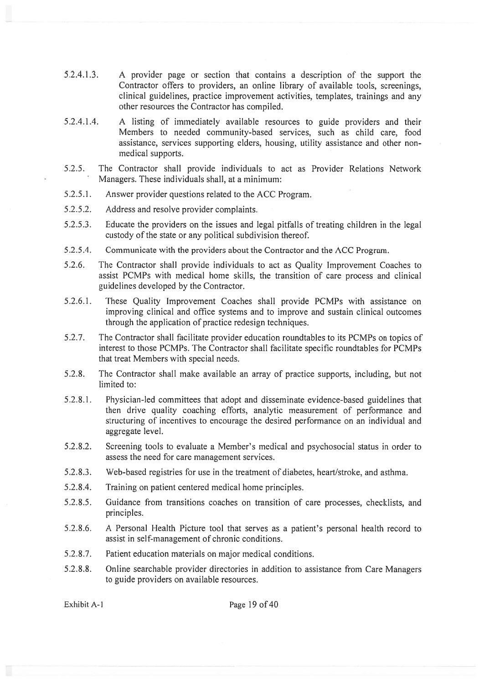- 5.2.4.1.3. A provider page or section that contains <sup>a</sup> description of the suppor<sup>t</sup> the Contractor offers to providers, an online library of available tools, screenings, clinical guidelines, practice improvement activities, templates, trainings and any other resources the Contractor has compiled.
- 5.2.4.1.4. A listing of immediately available resources to guide providers and their Members to needed community-based services, such as child care, food assistance, services supporting elders, housing, utility assistance and other nonmedical supports.
- 5.2.5. The Contractor shall provide individuals to act as Provider Relations Network Managers. These individuals shall, at <sup>a</sup> minimum:
- 5.2.5.1. Answer provider questions related to the ACC Program.
- 5.2.5.2. Address and resolve provider complaints.
- 5.2.5.3. Educate the providers on the issues and legal pitfalls of treating children in the legal custody of the state or any political subdivision thereof.
- 5.2.5.4. Communicate with the providers about the Contractor and the ACC Program.
- 5.2.6. The Contractor shall provide individuals to act as Quality Improvement Coaches to assist PCMPs with medical home skills, the transition of care process and clinical guidelines developed by the Contractor.
- 5.2.6.1. These Quality Improvement Coaches shall provide PCMPs with assistance on improving clinical and office systems and to improve and sustain clinical outcomes through the application of practice redesign techniques.
- 5.2.7. The Contractor shall facilitate provider education roundtables to its PCMPs on topics of interest to those PCMPs. The Contractor shall facilitate specific roundtables for PCMPs that treat Members with special needs.
- 5.2.8. The Contractor shall make available an array of practice supports, including, but not limited to:
- 5.2.8.1. Physician-led committees that adopt and disseminate evidence-based guidelines that then drive quality coaching efforts, analytic measurement of performance and structuring of incentives to encourage the desired performance on an individual and aggregate level.
- 5.2.8,2. Screening tools to evaluate <sup>a</sup> Member's medical and psychosocial status in order to assess the need for care managemen<sup>t</sup> services.
- 5.2.8.3. Web-based registries for use in the treatment of diabetes, heart/stroke, and asthma.
- 5.2.8.4. Training on patient centered medical home principles.
- 5.2.8.5. Guidance from transitions coaches on transition of care processes, checklists, and principles.
- 5.2.8.6. A Personal Health Picture tool that serves as <sup>a</sup> patient's personal health record to assist in self-management of chronic conditions.
- 5.2.8.7. Patient education materials on major medical conditions.
- 5.2.8.8. Online searchable provider directories in addition to assistance from Care Managers to guide providers on available resources.

Exhibit A-1 Page 19 of 40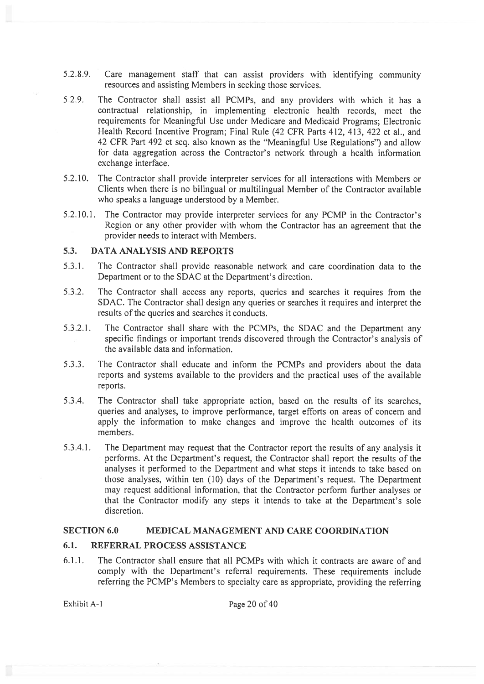- 5.2.8.9. Care management staff that can assist providers with identifying community resources and assisting Members in seeking those services.
- 5.2.9. The Contractor shall assist all PCMPs, and any providers with which it has <sup>a</sup> contractual relationship, in implementing electronic health records, meet the requirements for Meaningful Use under Medicare and Medicaid Programs; Electronic Health Record Incentive Program; Final Rule (42 CFR Parts 412, 413, 422 et al., and 42 CFR Part 492 et seq. also known as the "Meaningful Use Regulations") and allow for data aggregation across the Contractor's network through <sup>a</sup> health information exchange interface.
- 5.2.10. The Contractor shall provide interpreter services for all interactions with Members or Clients when there is no bilingual or multilingual Member of the Contractor available who speaks <sup>a</sup> language understood by <sup>a</sup> Member.
- 5.2.10.1. The Contractor may provide interpreter services for any PCMP in the Contractor's Region or any other provider with whom the Contractor has an agreemen<sup>t</sup> that the provider needs to interact with Members.

# 5.3. DATA ANALYSIS AND REPORTS

- 5.3.1. The Contractor shall provide reasonable network and care coordination data to the Department or to the SDAC at the Department's direction.
- 5.3.2. The Contractor shall access any reports, queries and searches it requires from the SDAC. The Contractor shall design any queries or searches it requires and interpret the results of the queries and searches it conducts.
- 5.3.2.1. The Contractor shall share with the PCMPs. the SDAC and the Department any specific findings or important trends discovered through the Contractor's analysis of the available data and information.
- 5.3.3. The Contractor shall educate and inform the PCMPs and providers about the data reports and systems available to the providers and the practical uses of the available reports.
- 5.3.4. The Contractor shall take appropriate action, based on the results of its searches, queries and analyses, to improve performance, target efforts on areas of concern and apply the information to make changes and improve the health outcomes of its members.
- 5.3.4.1. The Department may reques<sup>t</sup> that the Contractor repor<sup>t</sup> the results of any analysis it performs. At the Department's request, the Contractor shall repor<sup>t</sup> the results of the analyses it performed to the Department and what steps it intends to take based on those analyses. within ten (10) days of the Department's request. The Department may request additional information, that the Contractor perform further analyses or that the Contractor modify any steps it intends to take at the Department's sole discretion.

# SECTION 6.0 MEDICAL MANAGEMENT AND CARE COORDINATION

### 6.1. REFERRAL PROCESS ASSISTANCE

6.1.1. The Contractor shall ensure that all PCMPs with which it contracts are aware of and comply with the Department's referral requirements. These requirements include referring the PCMP's Members to specialty care as appropriate, providing the referring

Exhibit A-1 Page 20 of 40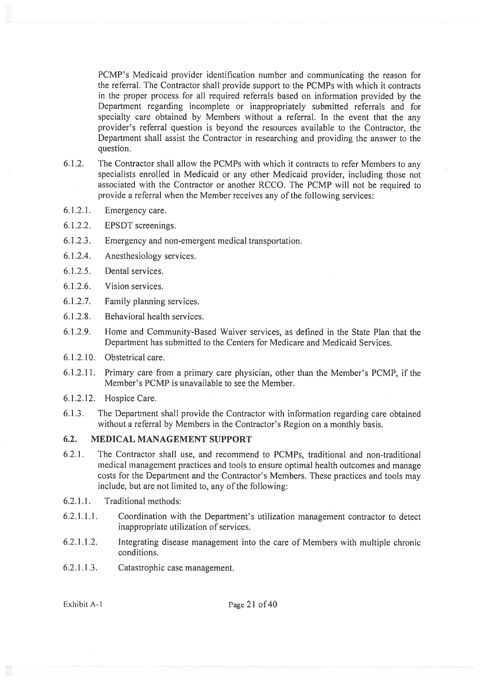PCMP's Medicaid provider identification number and communicating the reason for the referral. The Contractor shall provide suppor<sup>t</sup> to the PCMPs with which it contracts in the proper process for all required referrals based on information provided by the Department regarding incomplete or inappropriately submitted referrals and for specialty care obtained by Members without <sup>a</sup> referral. In the event that the any provider's referral question is beyond the resources available to the Contractor, the Department shall assist the Contractor in researching and providing the answer to the question.

- 6.1.2. The Contractor shall allow the PCMPs with which it contracts to refer Members to any specialists enrolled in Medicaid or any other Medicaid provider, including those not associated with the Contractor or another RCCO. The PCMP will not be required to provide <sup>a</sup> referral when the Member receives any of the following services:
- 6.1.2.1. Emergency care.
- 6.1.2.2. EPSDT screenings.
- 6.1.2.3. Emergency and non-emergen<sup>t</sup> medical transportation.
- 6.1.2.4. Anesthesiology services.
- 6.1.2.5. Dental services.
- 6.1.2.6. Vision services.
- 6.1.2.7. Family planning services.
- 6.1.2.8. Behavioral health services.
- 6.1.2.9. Home and Community-Based Waiver services, as defined in the State Plan that the Department has submitted to the Centers for Medicare and Medicaid Services.
- 6.1.2.10. Obstetrical care.
- 6.1.2.11. Primary care from <sup>a</sup> primary care physician, other than the Member's PCMP, if the Member's PCMP is unavailable to see the Member.
- 6.1.2.12. Hospice Care.
- 6.1.3. The Department shall provide the Contractor with information regarding care obtained without <sup>a</sup> referral by Members in the Contractor's Region on <sup>a</sup> monthly basis.

# 6.2. MEDICAL MANAGEMENT SUPPORT

- 6.2.1. The Contractor shall use, and recommend to PCMPs, traditional and non-traditional medical managemen<sup>t</sup> practices and tools to ensure optimal health outcomes and manage costs for the Department and the Contractor's Members. These practices and tools may include, but are not limited to, any of the following:
- 6.2.1.1. Traditional methods:
- 6.2.1.1.1. Coordination with the Department's utilization managemen<sup>t</sup> contractor to detect inappropriate utilization of services.
- 6.2.1.1.2. Integrating disease managemen<sup>t</sup> into the care of Members with multiple chronic conditions.
- 6.2.1 .1 .3. Catastrophic case management.

Exhibit A-1 Page 21 of 40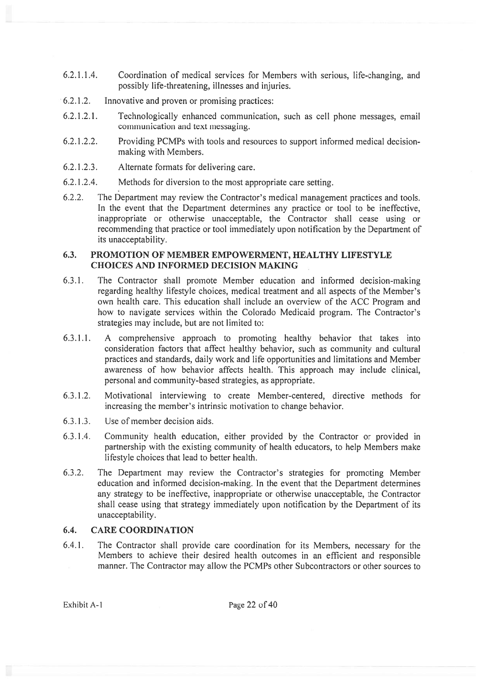- 6.2.1.1.4. Coordination of medical services for Members with serious, life-changing, and possibly life-threatening, illnesses and injuries.
- 6.2.1.2. Innovative and proven or promising practices:
- 6.2.1.2.1. Technologically enhanced communication, such as cell phone messages, email communication and text messaging.
- 6.2.1.2.2. Providing PCMPs with tools and resources to suppor<sup>t</sup> informed medical decisionmaking with Members.
- 6.2.1.2.3. Alternate formats for delivering care.
- 6.2.1 .2.4. Methods for diversion to the most appropriate care setting.
- 6.2.2. The Department may review the Contractor's medical managemen<sup>t</sup> practices and tools. In the event that the Department determines any practice or tool to be ineffective, inappropriate or otherwise unacceptable, the Contractor shall cease using or recommending that practice or tool immediately upon notification by the Department of its unacceptability.

### 6.3. PROMOTION OF MEMBER EMPOWERMENT, HEALTHY LIFESTYLE CHOICES ANT) INFORMED DECISION MAKING

- 6.3.1. The Contractor shall promote Member education and informed decision-making regarding healthy lifestyle choices, medical treatment and all aspects of the Member's own health care. This education shall include an overview of the ACC Program and how to navigate services within the Colorado Medicaid program. The Contractor's strategies may include, but are not limited to:
- 6.3.1.1. A comprehensive approach to promoting healthy behavior that takes into consideration factors that affect healthy behavior, such as community and cultural practices and standards, daily work and life opportunities and limitations and Member awareness of how behavior affects health. This approach may include clinical, personal and community-based strategies, as appropriate.
- 6.3.1.2. Motivational interviewing to create Member-centered, directive methods for increasing the member's intrinsic motivation to change behavior.
- 6.3.1.3. Use of member decision aids.
- 6.3.1.4. Community health education, either provided by the Contractor or provided in partnership with the existing community of health educators, to help Members make lifestyle choices that lead to better health.
- 6.3.2. The Department may review the Contractor's strategies for promoting Member education and informed decision-making. In the event that the Department determines any strategy to be ineffective, inappropriate or otherwise unacceptable, the Contractor shall cease using that strategy immediately upon notification by the Department of its unacceptability.

# 6.4. CARE COORDINATION

6.4.1. The Contractor shall provide care coordination for its Members, necessary for the Members to achieve their desired health outcomes in an efficient and responsible manner. The Contractor may allow the PCMPs other Subcontractors or other sources to

Exhibit A-1 Page 22 of 40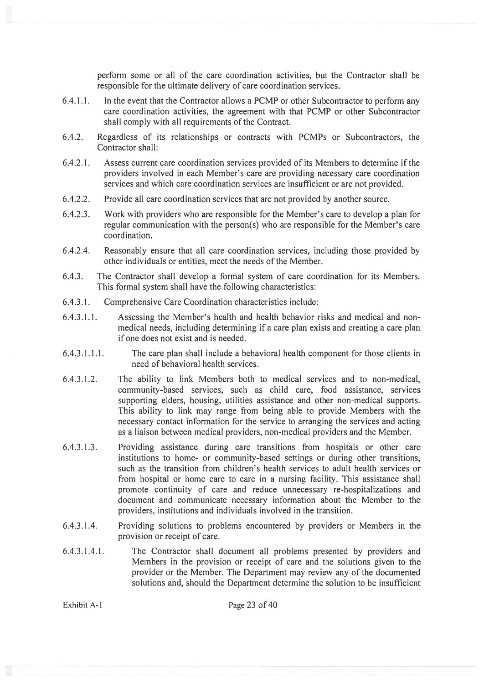perform some or all of the care coordination activities, but the Contractor shall be responsible for the ultimate delivery of care coordination services.

- 6.4.1.1. In the event that the Contractor allows <sup>a</sup> PCMP or other Subcontractor to perform any care coordination activities, the agreemen<sup>t</sup> with that PCMP or other Subcontractor shall comply with all requirements of the Contract.
- 6.4.2. Regardless of its relationships or contracts with PCMPs or Subcontractors, the Contractor shall:
- 6.4.2.1. Assess current care coordination services provided of its Members to determine if the providers involved in each Member's care are providing necessary care coordination services and which care coordination services are insufficient or are not provided.
- 6.4.2.2. Provide all care coordination services that are not provided by another source.
- 6.4.2.3. Work with providers who are responsible for the Member's care to develop <sup>a</sup> plan for regular communication with the person(s) who are responsible for the Member's care coordination.
- 6.4.2.4. Reasonably ensure that all care coordination services, including those provided by other individuals or entities, meet the needs of the Member.
- 6.4.3. The Contractor shall develop <sup>a</sup> formal system of care coordination for its Members. This formal system shall have the following characteristics:
- 6.4.3.1. Comprehensive Care Coordination characteristics include:
- 6.4.3.1.1. Assessing the Member's health and health behavior risks and medical and nonmedical needs, including determining if <sup>a</sup> care plan exists and creating <sup>a</sup> care plan if one does not exist and is needed.
- 6.4.3.1.1.1. The care plan shall include <sup>a</sup> behavioral health componen<sup>t</sup> for those clients in need of behavioral health services.
- 6.4.3.1.2. The ability to link Members both to medical services and to non-medical, community-based services, such as child care, food assistance, services supporting elders, housing, utilities assistance and other non-medical supports. This ability to link may range from being able to provide Members with the necessary contact information for the service to arranging the services and acting as <sup>a</sup> liaison between medical providers, non-medical providers and the Member.
- 6.4.3.1.3. Providing assistance during care transitions from hospitals or other care institutions to home- or community-based settings or during other transitions, such as the transition from children's health services to adult health services or from hospital or home care to care in <sup>a</sup> nursing facility. This assistance shall promote continuity of care and reduce unnecessary re-hospitalizations and document and communicate necessary information about the Member to the providers, institutions and individuals involved in the transition.
- 6.4.3.1.4. Providing solutions to problems encountered by providers or Members in the provision or receipt of care.
- 6.4.3.1.4.1. The Contractor shall document all problems presented by providers and Members in the provision or receipt of care and the solutions given to the provider or the Member. The Department may review any of the documented solutions and, should the Department determine the solution to be insufficient

Exhibit A-1 Page 23 of 40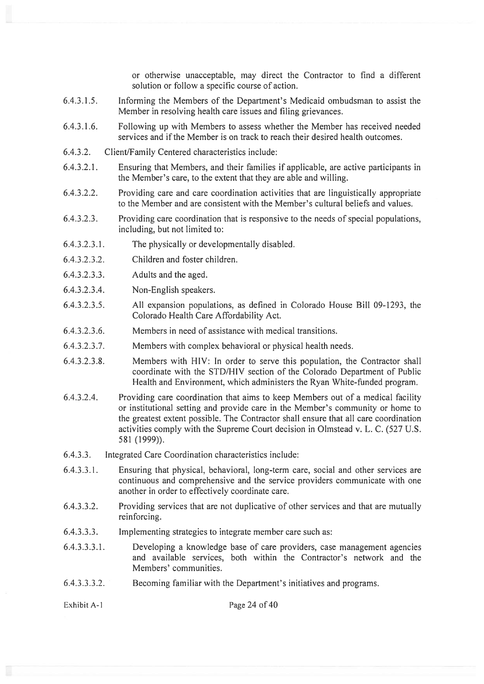or otherwise unacceptable, may direct the Contractor to find <sup>a</sup> different solution or follow <sup>a</sup> specific course of action.

- 6.4.3.1.5. Informing the Members of the Department's Medicaid ombudsman to assist the Member in resolving health care issues and filing grievances.
- 6.4.3.1.6. Following up with Members to assess whether the Member has received needed services and if the Member is on track to reach their desired health outcomes.
- 6.4.3.2. Client/Family Centered characteristics include:
- 6.4.3.2.1. Ensuring that Members, and their families if applicable, are active participants in the Member's care, to the extent that they are able and willing.
- 6.4.3.2.2. Providing care and care coordination activities that are linguistically appropriate to the Member and are consistent with the Member's cultural beliefs and values.
- 6.4.3.2.3. Providing care coordination that is responsive to the needs of special populations, including, but not limited to:
- 6.4.3.2.3.1. The physically or developmentally disabled.
- 6.4.3.2.3.2. Children and foster children.
- 6.4.3.2.3.3. Adults and the aged.
- 6.4.3.2.3.4. Non-English speakers.
- 6.4.3.2.3.5. All expansion populations, as defined in Colorado House Bill 09-1293, the Colorado Health Care Affordability Act.
- 6.4.3.2.3.6. Members in need of assistance with medical transitions.
- 6.4.3.2.3.7. Members with complex behavioral or physical health needs.
- 6.4.3.2.3.8. Members with HIV: In order to serve this population, the Contractor shall coordinate with the STD/HIV section of the Colorado Department of Public Health and Environment, which administers the Ryan White-funded program.
- 6.4.3.2.4. Providing care coordination that aims to keep Members out of <sup>a</sup> medical facility or institutional setting and provide care in the Member's community or home to the greatest extent possible. The Contractor shall ensure that all care coordination activities comply with the Supreme Court decision in Olmstead v. L. C. (527 U.s. 581 (1999)).
- 6.4.3.3. Integrated Care Coordination characteristics include:
- 6.4.3.3.1. Ensuring that physical, behavioral, long-term care, social and other services are continuous and comprehensive and the service providers communicate with one another in order to effectively coordinate care.
- 6.4.3.3.2. Providing services that are not duplicative of other services and that are mutually reinforcing.
- 6.4.3.3.3. Implementing strategies to integrate member care such as:
- 6.4.3.3.3.1. Developing <sup>a</sup> knowledge base of care providers, case managemen<sup>t</sup> agencies and available services, both within the Contractor's network and the Members' communities.
- 6.4.3.3.3.2. Becoming familiar with the Department's initiatives and programs.

Exhibit A-1 Page 24 of 40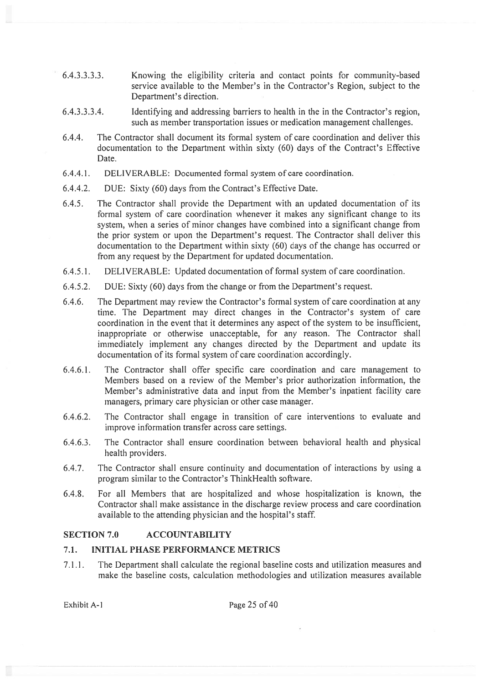- 6.4.3.3.3.3. Knowing the eligibility criteria and contact points for community-based service available to the Member's in the Contractor's Region, subject to the Department's direction.
- 6.4.3.3.3.4. Identifying and addressing barriers to health in the in the Contractor's region, such as member transportation issues or medication managemen<sup>t</sup> challenges.
- 6.4.4. The Contractor shall document its formal system of care coordination and deliver this documentation to the Department within sixty (60) days of the Contract's Effective Date.
- 6.4.4.1. DELIVERABLE: Documented formal system of care coordination.
- 6.4.4.2. DUE: Sixty (60) days from the Contract's Effective Date.
- 6.4.5. The Contractor shall provide the Department with an updated documentation of its formal system of care coordination whenever it makes any significant change to its system, when <sup>a</sup> series of minor changes have combined into <sup>a</sup> significant change from the prior system or upon the Department's request. The Contractor shall deliver this documentation to the Department within sixty (60) days of the change has occurred or from any reques<sup>t</sup> by the Department for updated documentation.
- 6.4.5.1. DELIVERABLE: Updated documentation of formal system of care coordination.
- 6.4.5.2. DUE: Sixty (60) days from the change or from the Department's request.
- 6.4.6. The Department may review the Contractor's formal system of care coordination at any time. The Department may direct changes in the Contractor's system of care coordination in the event that it determines any aspec<sup>t</sup> of the system to be insufficient, inappropriate or otherwise unacceptable, for any reason. The Contractor shall immediately implement any changes directed by the Department and update its documentation of its formal system of care coordination accordingly.
- 6.4.6.1. The Contractor shall offer specific care coordination and care managemen<sup>t</sup> to Members based on <sup>a</sup> review of the Member's prior authorization information, the Member's administrative data and input from the Member's inpatient facility care managers, primary care physician or other case manager.
- 6.4.6.2. The Contractor shall engage in transition of care interventions to evaluate and improve information transfer across care settings.
- 6.4.6.3. The Contractor shall ensure coordination between behavioral health and physical health providers.
- 6.4.7. The Contractor shall ensure continuity and documentation of interactions by using <sup>a</sup> program similar to the Contractor's ThinkHealth software.
- 6.4.8. For all Members that are hospitalized and whose hospitalization is known, the Contractor shall make assistance in the discharge review process and care coordination available to the attending physician and the hospital's staff

### SECTION 7.0 ACCOUNTABILITY

### 7.1. INITIAL PHASE PERFORMANCE METRICS

7.1 .1. The Department shall calculate the regional baseline costs and utilization measures and make the baseline costs, calculation methodologies and utilization measures available

Exhibit A-1 Page 25 of 40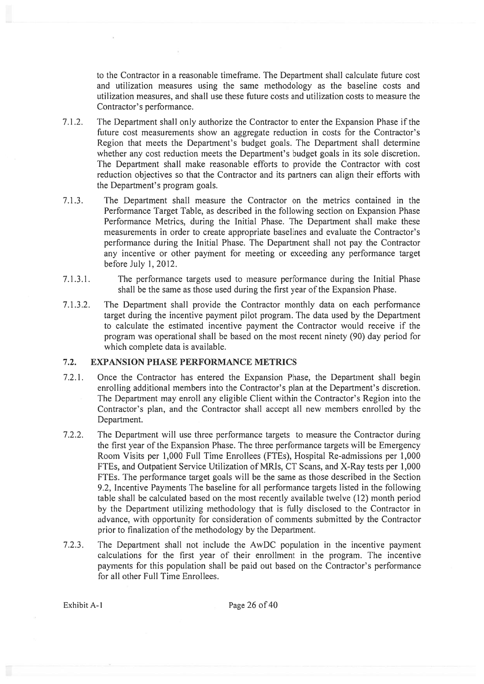to the Contractor in <sup>a</sup> reasonable timeframe. The Department shall calculate future cost and utilization measures using the same methodology as the baseline costs and utilization measures, and shall use these future costs and utilization costs to measure the Contractor's performance.

- 7.1.2. The Department shall only authorize the Contractor to enter the Expansion Phase if the future cost measurements show an aggregate reduction in costs for the Contractor's Region that meets the Department's budget goals. The Department shall determine whether any cost reduction meets the Department's budget goals in its sole discretion. The Department shall make reasonable efforts to provide the Contractor with cost reduction objectives so that the Contractor and its partners can align their efforts with the Department's program goals.
- 7.1.3. The Department shall measure the Contractor on the metrics contained in the Performance Target Table, as described in the following section on Expansion Phase Performance Metrics, during the Initial Phase. The Department shall make these measurements in order to create appropriate baselines and evaluate the Contractor's performance during the Initial Phase. The Department shall not pay the Contractor any incentive or other paymen<sup>t</sup> for meeting or exceeding any performance target before July 1, 2012.
- 7.1 .3.1. The performance targets used to measure performance during the Initial Phase shall be the same as those used during the first year of the Expansion Phase.
- 7.1.3.2. The Department shall provide the Contractor monthly data on each performance target during the incentive paymen<sup>t</sup> pilot program. The data used by the Department to calculate the estimated incentive paymen<sup>t</sup> the Contractor would receive if the program was operational shall be based on the most recent ninety (90) day period for which complete data is available.

# 7.2. EXPANSION PHASE PERFORMANCE METRICS

- 7.2.1. Once the Contractor has entered the Expansion Phase, the Department shall begin enrolling additional members into the Contractor's plan at the Department's discretion. The Department may enroll any eligible Client within the Contractor's Region into the Contractor's plan, and the Contractor shall accep<sup>t</sup> all new members enrolled by the Department.
- 7.2.2. The Department will use three performance targets to measure the Contractor during the first year of the Expansion Phase. The three performance targets will be Emergency Room Visits per 1,000 Full Time Enrollees (FTE5), Hospital Re-admissions per 1,000 FTEs, and Outpatient Service Utilization of MRIs, CT Scans, and X-Ray tests per 1,000 FTEs. The performance target goals will be the same as those described in the Section 9.2, Incentive Payments The baseline for all performance targets listed in the following table shall be calculated based on the most recently available twelve (12) month period by the Department utilizing methodology that is fully disclosed to the Contractor in advance, with opportunity for consideration of comments submitted by the Contractor prior to finalization of the methodology by the Department.
- 7.2.3. The Department shall not include the AwDC population in the incentive paymen<sup>t</sup> calculations for the first year of their enrollment in the program. The incentive payments for this population shall be paid out based on the Contractor's performance for all other Full Time Enrollees.

Exhibit A-1 Page 26 of 40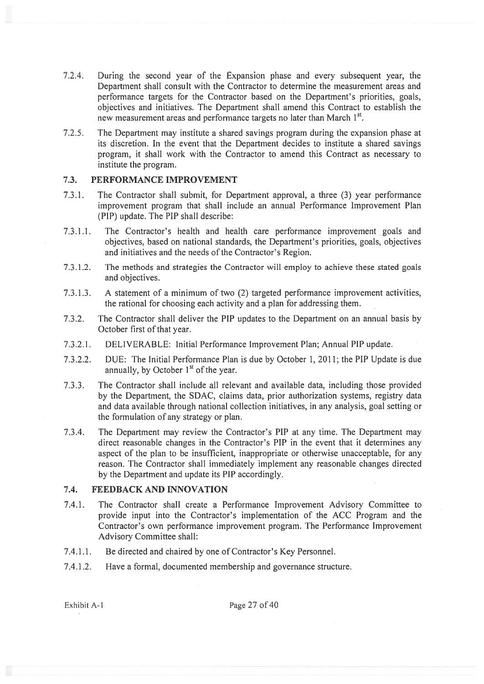- 7.2.4. During the second year of the Expansion phase and every subsequent year, the Department shall consult with the Contractor to determine the measurement areas and performance targets for the Contractor based on the Department's priorities, goals, objectives and initiatives. The Department shall amend this Contract to establish the new measurement areas and performance targets no later than March 1<sup>st</sup>.
- 7.2.5. The Department may institute <sup>a</sup> shared savings program during the expansion phase at its discretion. In the event that the Department decides to institute <sup>a</sup> shared savings program, it shall work with the Contractor to amend this Contract as necessary to institute the program.

#### 7.3. PERFORMANCE IMPROVEMENT

- 7.3.1. The Contractor shall submit, for Department approval, <sup>a</sup> three (3) year performance improvement program that shall include an annual Performance Improvement Plan (PIP) update. The PIP shall describe:
- 7.3.1.1. The Contractor's health and health care performance improvement goals and objectives, based on national standards, the Department's priorities, goals, objectives and initiatives and the needs of the Contractor's Region.
- 7.3.1.2. The methods and strategies the Contractor will employ to achieve these stated goals and objectives.
- 7.3.1.3. A statement of <sup>a</sup> minimum of two (2) targeted performance improvement activities, the rational for choosing each activity and <sup>a</sup> plan for addressing them.
- 7.3.2. The Contractor shall deliver the PIP updates to the Department on an annual basis by October first of that year.
- 7.3.2.1. DELIVERABLE: Initial Performance Improvement Plan; Annual PIP update.
- 7.3.2.2. DUE: The Initial Performance Plan is due by October 1, 2011; the PIP Update is due annually, by October  $1<sup>st</sup>$  of the year.
- 7.3.3. The Contractor shall include all relevant and available data, including those provided by the Department, the SDAC, claims data, prior authorization systems, registry data and data available through national collection initiatives, in any analysis, goal setting or the formulation of any strategy or plan.
- 7.3.4. The Department may review the Contractor's PIP at any time. The Department may direct reasonable changes in the Contractor's PIP in the event that it determines any aspec<sup>t</sup> of the plan to be insufficient, inappropriate or otherwise unacceptable, for any reason. The Contractor shall immediately implement any reasonable changes directed by the Department and update its PIP accordingly.

### 7.4. FEEDBACK AND INNOVATION

- 7.4.1. The Contractor shall create <sup>a</sup> Performance Improvement Advisory Committee to provide input into the Contractor's implementation of the ACC Program and the Contractor's own performance improvement program. The Performance Improvement Advisory Committee shall:
- 7.4.1.1. Be directed and chaired by one of Contractor's Key Personnel.
- 7.4.1.2. Have <sup>a</sup> formal, documented membership and governance structure.

Exhibit A-1 Page 27 of 40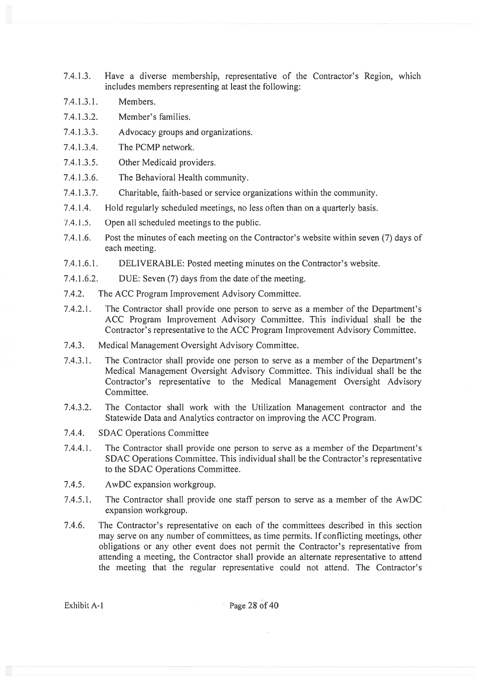- 7.4.1.3. Have <sup>a</sup> diverse membership, representative of the Contractor's Region, which includes members representing at least the following:
- 7.4.1.3.1. Members.
- 7.4.1.3.2. Member's families.
- 7.4.1.3.3. Advocacy groups and organizations.
- 7.4.1.3.4. The PCMP network.
- 7.4.1.3.5. Other Medicaid providers.
- 7.4.1 .3.6. The Behavioral Health community.
- 7.4.1.3.7. Charitable, faith-based or service organizations within the community.
- 7.4.1 .4. Hold regularly scheduled meetings, no less often than on <sup>a</sup> quarterly basis.
- 7.4.1.5. Open all scheduled meetings to the public.
- 7.4.1.6. Post the minutes of each meeting on the Contractor's website within seven (7) days of each meeting.
- 7.4.1.6.1. DELIVERABLE: Posted meeting minutes on the Contractor's website.
- 7.4.1.6.2. DUE: Seven (7) days from the date of the meeting.
- 7.4.2. The ACC Program Improvement Advisory Committee.
- 7.4.2.1. The Contractor shall provide one person to serve as <sup>a</sup> member of the Department's ACC Program Improvement Advisory Committee. This individual shall be the Contractor's representative to the ACC Program Improvement Advisory Committee.
- 7.4.3. Medical Management Oversight Advisory Committee.
- 7.4.3.1. The Contractor shall provide one person to serve as <sup>a</sup> member of the Department's Medical Management Oversight Advisory Committee. This individual shall be the Contractor's representative to the Medical Management Oversight Advisory Committee.
- 7.4.3.2. The Contactor shall work with the Utilization Management contractor and the Statewide Data and Analytics contractor on improving the ACC Program.
- 7.4.4. SDAC Operations Committee
- 7.4.4.1. The Contractor shall provide one person to serve as <sup>a</sup> member of the Department's SDAC Operations Committee. This individual shall be the Contractor's representative to the SDAC Operations Committee.
- 7.4.5. AwDC expansion workgroup.
- 7.4.5.1. The Contractor shall provide one staff person to serve as <sup>a</sup> member of the AwDC expansion workgroup.
- 7.4.6. The Contractor's representative on each of the committees described in this section may serve on any number of committees, as time permits. If conflicting meetings, other obligations or any other event does not permit the Contractor's representative from attending <sup>a</sup> meeting, the Contractor shall provide an alternate representative to attend the meeting that the regular representative could not attend. The Contractor's

Exhibit A-1 Page 28 of 40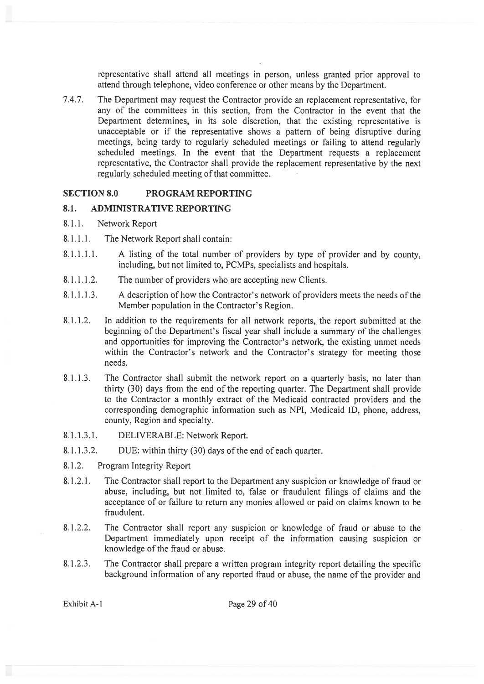representative shall attend all meetings in person, unless granted prior approval to attend through telephone, video conference or other means by the Department.

7.4.7. The Department may reques<sup>t</sup> the Contractor provide an replacement representative, for any of the committees in this section. from the Contractor in the event that the Department determines, in its sole discretion, that the existing representative is unacceptable or if the representative shows <sup>a</sup> pattern of being disruptive during meetings, being tardy to regularly scheduled meetings or failing to attend regularly scheduled meetings. In the event that the Department requests <sup>a</sup> replacement representative, the Contractor shall provide the replacement representative by the next regularly scheduled meeting of that committee.

### SECTION 8.0 PROGRAM REPORTING

### 8.1. ADMINISTRATIVE REPORTING

- 8.1.1. Network Report
- 8.1.1.1. The Network Report shall contain:
- 8.1.1.1.1. A listing of the total number of providers by type of provider and by county, including, but not limited to, PCMPs, specialists and hospitals.
- 8.1.1.1.2. The number of providers who are accepting new Clients.
- 8.1.1.1.3. A description of how the Contractor's network of providers meets the needs of the Member population in the Contractor's Region.
- 8.1.1.2. In addition to the requirements for all network reports, the repor<sup>t</sup> submitted at the beginning of the Department's fiscal year shall include <sup>a</sup> summary of the challenges and opportunities for improving the Contractor's network, the existing unmet needs within the Contractor's network and the Contractor's strategy for meeting those needs.
- 8.1.1.3. The Contractor shall submit the network repor<sup>t</sup> on <sup>a</sup> quarterly basis, no later than thirty (30) days from the end of the reporting quarter. The Department shall provide to the Contractor <sup>a</sup> monthly extract of the Medicaid contracted providers and the corresponding demographic information such as NPI, Medicaid ID, phone, address, county, Region and specialty.
- 8.1.1.3.1. DELIVERABLE: Network Report.
- 8.1.1.3.2. DUE: within thirty (30) days of the end of each quarter.
- 8.1.2. Program Integrity Report
- 8.1.2.1. The Contractor shall repor<sup>t</sup> to the Department any suspicion or knowledge of fraud or abuse, including, but not limited to, false or fraudulent filings of claims and the acceptance of or failure to return any monies allowed or paid on claims known to be fraudulent.
- 8.1.2.2. The Contractor shall repor<sup>t</sup> any suspicion or knowledge of fraud or abuse to the Department immediately upon receipt of the information causing suspicion or knowledge of the fraud or abuse.
- 8.1.2.3. The Contractor shall prepare <sup>a</sup> written program integrity repor<sup>t</sup> detailing the specific background information of any reported fraud or abuse, the name of the provider and

Exhibit A-1 Page 29 of 40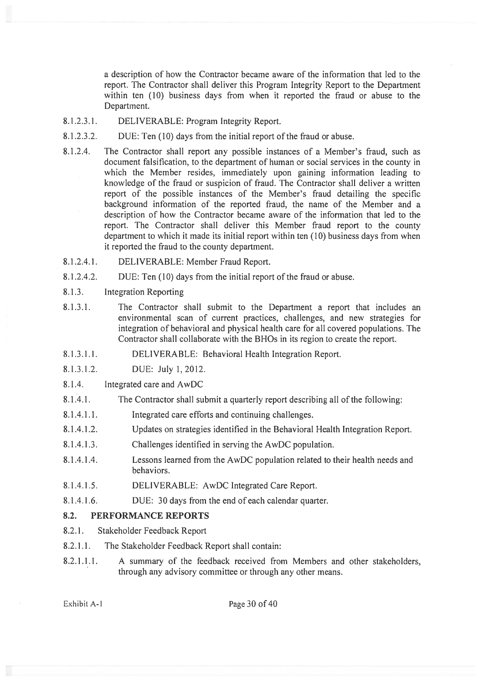<sup>a</sup> description of how the Contractor became aware of the information that led to the report. The Contractor shall deliver this Program Integrity Report to the Department within ten (10) business days from when it reported the fraud or abuse to the Department.

- 8.1.2.3.1. DELIVERABLE: Program Integrity Report.
- 8.1.2.3.2. DUE: Ten (10) days from the initial repor<sup>t</sup> of the fraud or abuse.
- 8.1.2.4. The Contractor shall repor<sup>t</sup> any possible instances of <sup>a</sup> Member's fraud, such as document falsification, to the department of human or social services in the county in which the Member resides, immediately upon gaining information leading to knowledge of the fraud or suspicion of fraud. The Contractor shall deliver <sup>a</sup> written repor<sup>t</sup> of the possible instances of the Member's fraud detailing the specific background information of the reported fraud, the name of the Member and <sup>a</sup> description of how the Contractor became aware of the information that led to the report. The Contractor shall deliver this Member fraud repor<sup>t</sup> to the county department to which it made its initial repor<sup>t</sup> within ten (10) business days from when it reported the fraud to the county department.
- 8.1.2.4.1. DELIVERABLE: Member Fraud Report.
- 8.1.2.4.2. DUE: Ten (10) days from the initial repor<sup>t</sup> of the fraud or abuse.
- 8.1.3. Integration Reporting
- 8.1.3.1. The Contractor shall submit to the Department <sup>a</sup> repor<sup>t</sup> that includes an environmental scan of current practices, challenges, and new strategies for integration of behavioral and physical health care for all covered populations. The Contractor shall collaborate with the BHOs in its region to create the report.
- 8.1 .3.1. I. DELIVERABLE: Behavioral Health Integration Report.
- 8.1.3.1.2. DUE: July 1,2012.
- 8.1 .4. Integrated care and AwDC
- 8.1.4.1. The Contractor shall submit <sup>a</sup> quarterly repor<sup>t</sup> describing all of the following:
- 8.1.4.1.1. Integrated care efforts and continuing challenges.
- 8.1.4.1.2. Updates on strategies identified in the Behavioral Health Integration Report.
- 8.1.4.1.3. Challenges identified in serving the AwDC population.
- 8.1.4.1.4. Lessons learned from the AwDC population related to their health needs and behaviors.
- 8.1.4.1.5. DELIVERABLE: AwDC Integrated Care Report.
- 8.1.4.1.6. DUE: 30 days from the end of each calendar quarter.

### 8.2. PERFORMANCE REPORTS

- 8.2.1. Stakeholder Feedback Report
- 8.2.1.1. The Stakeholder Feedback Report shall contain:
- 8.2.1.1.1. A summary of the feedback received from Members and other stakeholders, through any advisory committee or through any other means.

Exhibit A-1 Page 30 of 40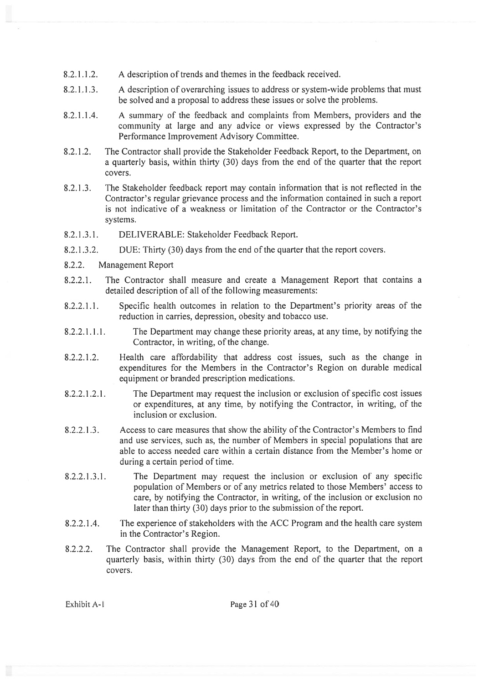- 8.2.1.1.2. A description of trends and themes in the feedback received.
- 8.2.1.1.3. A description of overarching issues to address or system-wide problems that must be solved and <sup>a</sup> proposal to address these issues or solve the problems.
- 8.2.1.1.4. A summary of the feedback and complaints from Members, providers and the community at large and any advice or views expressed by the Contractor's Performance Improvement Advisory Committee.
- 8.2.1.2. The Contractor shall provide the Stakeholder Feedback Report, to the Department, on <sup>a</sup> quarterly basis, within thirty (30) days from the end of the quarter that the repor<sup>t</sup> covers.
- 8.2.1 .3. The Stakeholder feedback repor<sup>t</sup> may contain information that is not reflected in the Contractor's regular grievance process and the information contained in such <sup>a</sup> repor<sup>t</sup> is not indicative of <sup>a</sup> weakness or limitation of the Contractor or the Contractor's systems.
- 8.2.1.3.1. DELIVERABLE: Stakeholder Feedback Report.
- 8.2.1.3.2. DUE: Thirty (30) days from the end of the quarter that the report covers.
- 8.2.2. Management Report
- 8.2.2.1. The Contractor shall measure and create <sup>a</sup> Management Report that contains <sup>a</sup> detailed description of all of the following measurements:
- 8.2.2.1.1. Specific health outcomes in relation to the Department's priority areas of the reduction in carries, depression, obesity and tobacco use.
- 8.2.2.1.1.1. The Department may change these priority areas, at any time, by notifying the Contractor, in writing, of the change.
- 8.2.2.1.2. Health care affordability that address cost issues, such as the change in expenditures for the Members in the Contractor's Region on durable medical equipment or branded prescription medications.
- 8.2.2.1.2.1. The Department may request the inclusion or exclusion of specific cost issues or expenditures, at any time, by notifying the Contractor, in writing, of the inclusion or exclusion.
- 8.2.2.1.3. Access to care measures that show the ability of the Contractor's Members to find and use services, such as, the number of Members in special populations that are able to access needed care within <sup>a</sup> certain distance from the Member's home or during <sup>a</sup> certain period of time.
- 8.2.2.1.3.1. The Department may reques<sup>t</sup> the inclusion or exclusion of any specific population of Members or of any metrics related to those Members' access to care, by notifying the Contractor, in writing, of the inclusion or exclusion no later than thirty (30) days prior to the submission of the report.
- 8.2.2.1.4. The experience of stakeholders with the ACC Program and the health care system in the Contractor's Region.
- 8.2.2.2. The Contractor shall provide the Management Report, to the Department, on <sup>a</sup> quarterly basis, within thirty (30) days from the end of the quarter that the repor<sup>t</sup> covers.

Exhibit A-1 Page 31 of 40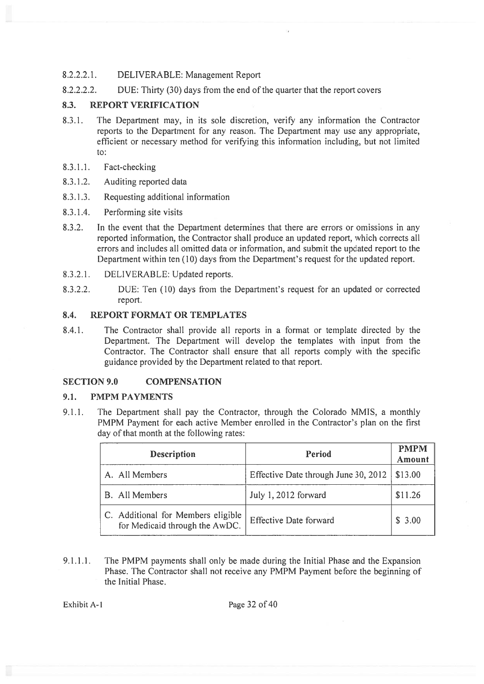### 8.2.2.2.1. DELIVERABLE: Management Report

8.2.2.2.2. DUE: Thirty (30) days from the end of the quarter that the report covers

# 8.3. REPORT VERIFICATION

- 8.3.1. The Department may, in its sole discretion, verify any information the Contractor reports to the Department for any reason. The Department may use any appropriate, efficient or necessary method for verifying this information including, but not limited to:
- 8.3.1.1. Fact-checking
- 8.3.1.2. Auditing reported data
- 8.3.1 .3. Requesting additional information
- 8.3.1.4. Performing site visits
- 8.3.2. In the event that the Department determines that there are errors or omissions in any reported information, the Contractor shall produce an updated report, which corrects all errors and includes all omitted data or information, and submit the updated repor<sup>t</sup> to the Department within ten (10) days from the Department's reques<sup>t</sup> for the updated report.
- 8.3.2.1. DELIVERABLE: Updated reports.
- 8.3.2.2. DUE: Ten (10) days from the Department's reques<sup>t</sup> for an updated or corrected report.

# 8.4. REPORT FORMAT OR TEMPLATES

8.4.1. The Contractor shall provide all reports in <sup>a</sup> format or template directed by the Department. The Department will develop the templates with input from the Contractor. The Contractor shall ensure that all reports comply with the specific guidance provided by the Department related to that report.

# SECTION 9.0 COMPENSATION

### 9.1. PMPM PAYMENTS

9.1.1. The Department shall pay the Contractor, through the Colorado MMIS, <sup>a</sup> monthly PMPM Payment for each active Member enrolled in the Contractor's plan on the first day of that month at the following rates:

| <b>Description</b>                                                   | Period                               | <b>PMPM</b><br>Amount |
|----------------------------------------------------------------------|--------------------------------------|-----------------------|
| A. All Members                                                       | Effective Date through June 30, 2012 | \$13.00               |
| <b>B.</b> All Members                                                | July 1, 2012 forward                 | \$11.26               |
| C. Additional for Members eligible<br>for Medicaid through the AwDC. | <b>Effective Date forward</b>        | \$3.00                |

9.1.1.1. The PMPM payments shall only be made during the Initial Phase and the Expansion Phase. The Contractor shall not receive any PMPM Payment before the beginning of the Initial Phase.

Exhibit A-1 Page 32 of 40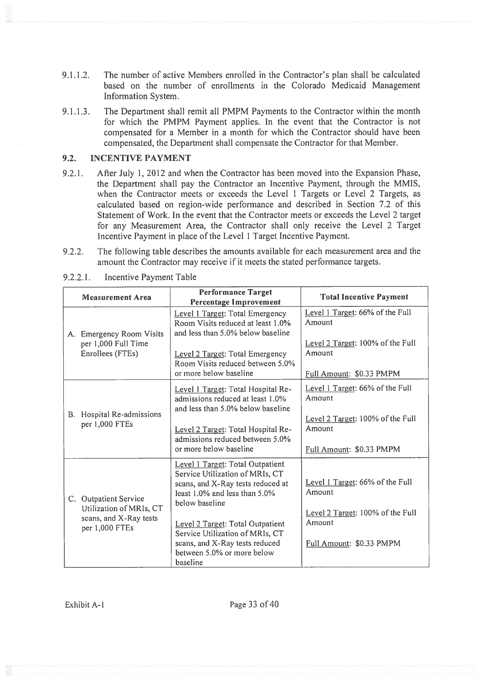- 9.1.1.2. The number of active Members enrolled in the Contractor's plan shall be calculated based on the number of enrollments in the Colorado Medicaid Management Information System.
- 9.1.1.3. The Department shall remit all PMPM Payments to the Contractor within the month for which the PMPM Payment applies. In the event that the Contractor is not compensated for <sup>a</sup> Member in <sup>a</sup> month for which the Contractor should have been compensated, the Department shall compensate the Contractor for that Member.

# 9.2. INCENTIVE PAYMENT

- 9.2.1. After July 1, 2012 and when the Contractor has been moved into the Expansion Phase, the Department shall pay the Contractor an Incentive Payment, through the MMIS, when the Contractor meets or exceeds the Level I Targets or Level 2 Targets, as calculated based on region-wide performance and described in Section 7.2 of this Statement of Work. In the event that the Contractor meets or exceeds the Level 2 target for any Measurement Area, the Contractor shall only receive the Level <sup>2</sup> Target Incentive Payment in place of the Level 1 Target Incentive Payment.
- 9.2.2. The following table describes the amounts available for each measurement area and the amount the Contractor may receive if it meets the stated performance targets.

| <b>Measurement Area</b>                                                                      | <b>Performance Target</b><br>Percentage Improvement                                                                                                                                                                                                                                                                  | <b>Total Incentive Payment</b>                                                                                      |
|----------------------------------------------------------------------------------------------|----------------------------------------------------------------------------------------------------------------------------------------------------------------------------------------------------------------------------------------------------------------------------------------------------------------------|---------------------------------------------------------------------------------------------------------------------|
| A. Emergency Room Visits<br>per 1,000 Full Time<br>Enrollees (FTEs)                          | Level 1 Target: Total Emergency<br>Room Visits reduced at least 1.0%<br>and less than 5.0% below baseline<br>Level 2 Target: Total Emergency<br>Room Visits reduced between 5.0%<br>or more below baseline                                                                                                           | Level 1 Target: 66% of the Full<br>Amount<br>Level 2 Target: 100% of the Full<br>Amount<br>Full Amount: \$0.33 PMPM |
| B. Hospital Re-admissions<br>per 1,000 FTEs                                                  | Level 1 Target: Total Hospital Re-<br>admissions reduced at least 1.0%<br>and less than 5.0% below baseline<br>Level 2 Target: Total Hospital Re-<br>admissions reduced between 5.0%<br>or more below baseline                                                                                                       | Level 1 Target: 66% of the Full<br>Amount<br>Level 2 Target: 100% of the Full<br>Amount<br>Full Amount: \$0.33 PMPM |
| C. Outpatient Service<br>Utilization of MRIs, CT<br>scans, and X-Ray tests<br>per 1,000 FTEs | Level 1 Target: Total Outpatient<br>Service Utilization of MRIs, CT<br>scans, and X-Ray tests reduced at<br>least $1.0\%$ and less than $5.0\%$<br>below baseline<br>Level 2 Target: Total Outpatient<br>Service Utilization of MRIs, CT<br>scans, and X-Ray tests reduced<br>between 5.0% or more below<br>baseline | Level 1 Target: 66% of the Full<br>Amount<br>Level 2 Target: 100% of the Full<br>Amount<br>Full Amount: \$0.33 PMPM |

9.2.2.1. Incentive Payment Table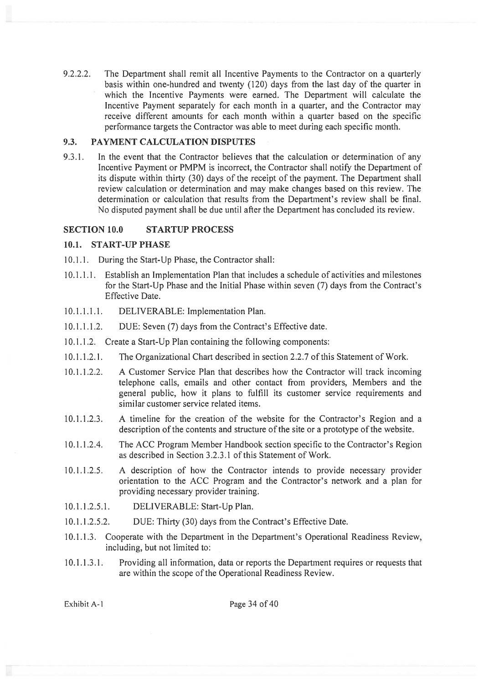9.2.2.2. The Department shall remit all Incentive Payments to the Contractor on <sup>a</sup> quarterly basis within one-hundred and twenty (120) days from the last day of the quarter in which the Incentive Payments were earned. The Department will calculate the Incentive Payment separately for each month in <sup>a</sup> quarter, and the Contractor may receive different amounts for each month within <sup>a</sup> quarter based on the specific performance targets the Contractor was able to meet during each specific month.

# 9.3. PAYMENT CALCULATION DISPUTES

9.3.1. In the event that the Contractor believes that the calculation or determination of any Incentive Payment or PMPM is incorrect, the Contractor shall notify the Department of its dispute within thirty (30) days of the receipt of the payment. The Department shall review calculation or determination and may make changes based on this review. The determination or calculation that results from the Department's review shall be final. No disputed paymen<sup>t</sup> shall be due until after the Department has concluded its review.

# SECTION 10.0 STARTUP PROCESS

# 10.1. START-UP PHASE

- 10.1 .1. During the Start-Up Phase, the Contractor shall:
- 10.1.1.1. Establish an Implementation Plan that includes <sup>a</sup> schedule of activities and milestones for the Start-Up Phase and the Initial Phase within seven (7) days from the Contract's Effective Date.
- 10.1.1.1.1. DELIVERABLE: Implementation Plan.
- 10.1.1.1.2. DUE: Seven (7) days from the Contract's Effective date.
- 10.1.1.2. Create a Start-Up Plan containing the following components:
- 10.1.1.2.1. The Organizational Chart described in section 2.2.7 of this Statement of Work.
- 10.1.1.2.2. A Customer Service Plan that describes how the Contractor will track incoming telephone calls, emails and other contact from providers, Members and the general public, how it plans to fulfill its customer service requirements and similar customer service related items.
- 10.1.1.2.3. A timeline for the creation of the website for the Contractor's Region and <sup>a</sup> description of the contents and structure of the site or a prototype of the website.
- 10.1.1.2.4. The ACC Program Member Handbook section specific to the Contractor's Region as described in Section 3.2.3.1 of this Statement of Work.
- 10.1.1.2.5. A description of how the Contractor intends to provide necessary provider orientation to the ACC Program and the Contractor's network and <sup>a</sup> plan for providing necessary provider training.
- 10.1.1.2.5.1. DELIVERABLE: Start-Up Plan.
- 10.1.1.2.5.2. DUE: Thirty (30) days from the Contract's Effective Date.
- 10.1.1.3. Cooperate with the Department in the Department's Operational Readiness Review, including, but not limited to:
- 10.1.1.3.1. Providing all information, data or reports the Department requires or requests that are within the scope of the Operational Readiness Review.

Exhibit A-1 Page 34 of 40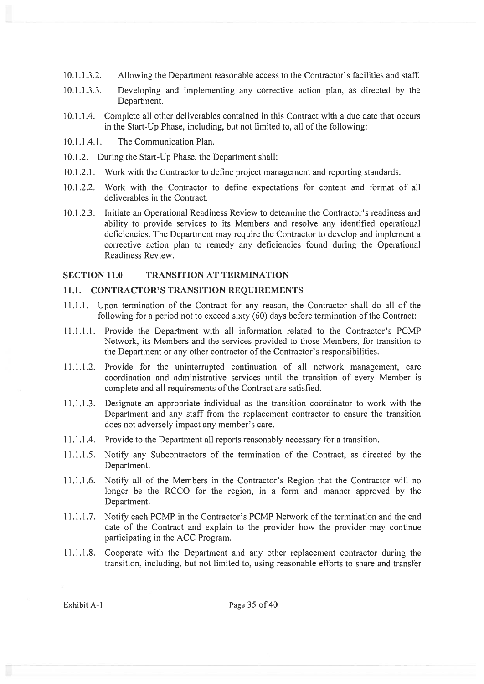- 10.1.1.3.2. Allowing the Department reasonable access to the Contractor's facilities and staff.
- 10.1.1.3.3. Developing and implementing any corrective action plan, as directed by the Department.
- 10.1.1.4. Complete all other deliverables contained in this Contract with <sup>a</sup> due date that occurs in the Start-Up Phase, including, but not limited to, all of the following:
- 10.1 .1.4.1. The Communication Plan.
- 10.1 .2. During the Start-Up Phase, the Department shall:
- 10.1 .2.1. Work with the Contractor to define project managemen<sup>t</sup> and reporting standards.
- 10.1.2.2. Work with the Contractor to define expectations for content and format of all deliverables in the Contract.
- 10.1.2.3. Initiate an Operational Readiness Review to determine the Contractor's readiness and ability to provide services to its Members and resolve any identified operational deficiencies. The Department may require the Contractor to develop and implement <sup>a</sup> corrective action plan to remedy any deficiencies found during the Operational Readiness Review.

### SECTION 11.0 TRANSITION AT TERMINATION

### 11.1. CONTRACTOR'S TRANSITION REQUIREMENTS

- 11.1.1. Upon termination of the Contract for any reason, the Contractor shall do all of the following for <sup>a</sup> period not to exceed sixty (60) days before termination of the Contract:
- 11.1.1.1. Provide the Department with all information related to the Contractor's PCMP Network, its Members and the services provided to those Members, for transition to the Department or any other contractor of the Contractor's responsibilities.
- 11.1.1.2. Provide for the uninterrupted continuation of all network management, care coordination and administrative services until the transition of every Member is complete and all requirements of the Contract are satisfied.
- 11.1.1.3. Designate an appropriate individual as the transition coordinator to work with the Department and any staff from the replacement contractor to ensure the transition does not adversely impact any member's care.
- 11.1.1.4. Provide to the Department all reports reasonably necessary for <sup>a</sup> transition.
- 11.1.1.5. Notify any Subcontractors of the termination of the Contract, as directed by the Department.
- 11.1.1.6. Notify all of the Members in the Contractor's Region that the Contractor will no longer be the RCCO for the region, in <sup>a</sup> form and manner approved by the Department.
- 11.1.1.7. Notify each PCMP in the Contractor's PCMP Network of the termination and the end date of the Contract and explain to the provider how the provider may continue participating in the ACC Program.
- 11.1.1.8. Cooperate with the Department and any other replacement contractor during the transition, including, but not limited to, using reasonable efforts to share and transfer

Exhibit A-1 Page 35 of 40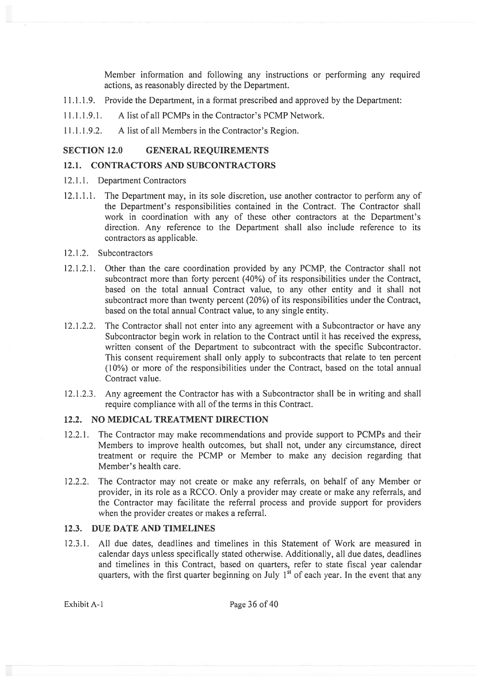Member information and following any instructions or performing any required actions, as reasonably directed by the Department.

- 1 .1 .1 .9. Provide the Department, in <sup>a</sup> format prescribed and approved by the Department:
- 11.1.1.9.1. A list of all PCMPs in the Contractor's PCMP Network.
- 11.1.1.9.2. A list of all Members in the Contractor's Region.

### SECTION 12.0 GENERAL REQUIREMENTS

# 12.1. CONTRACTORS AND SUBCONTRACTORS

- 12.1.1. Department Contractors
- 12.1.1.1. The Department may, in its sole discretion, use another contractor to perform any of the Department's responsibilities contained in the Contract. The Contractor shall work in coordination with any of these other contractors at the Department's direction. Any reference to the Department shall also include reference to its contractors as applicable.
- 12.1 .2. Subcontractors
- 12.1.2.1. Other than the care coordination provided by any PCMP, the Contractor shall not subcontract more than forty percen<sup>t</sup> (40%) of its responsibilities under the Contract, based on the total annual Contract value, to any other entity and it shall not subcontract more than twenty percen<sup>t</sup> (20%) of its responsibilities under the Contract, based on the total annual Contract value, to any single entity.
- 12.1.2.2. The Contractor shall not enter into any agreemen<sup>t</sup> with <sup>a</sup> Subcontractor or have any Subcontractor begin work in relation to the Contract until it has received the express, written consent of the Department to subcontract with the specific Subcontractor. This consent requirement shall only apply to subcontracts that relate to ten percen<sup>t</sup> (10%) or more of the responsibilities under the Contract, based on the total annual Contract value.
- 12.1.2.3. Any agreemen<sup>t</sup> the Contractor has with <sup>a</sup> Subcontractor shall be in writing and shall require compliance with all of the terms in this Contract.

### 12.2. NO MEDICAL TREATMENT DIRECTION

- 12.2.1. The Contractor may make recommendations and provide suppor<sup>t</sup> to PCMPs and their Members to improve health outcomes, but shall not, under any circumstance, direct treatment or require the PCMP or Member to make any decision regarding that Member's health care.
- 12.2.2. The Contractor may not create or make any referrals, on behalf of any Member or provider, in its role as <sup>a</sup> RCCO. Only <sup>a</sup> provider may create or make any referrals, and the Contractor may facilitate the referral process and provide suppor<sup>t</sup> for providers when the provider creates or makes <sup>a</sup> referral.

# 12.3. DUE DATE AND TIMELINES

12.3.1. All due dates, deadlines and timelines in this Statement of Work are measured in calendar days unless specifically stated otherwise. Additionally, all due dates, deadlines and timelines in this Contract, based on quarters, refer to state fiscal year calendar quarters, with the first quarter beginning on July  $1<sup>st</sup>$  of each year. In the event that any

Exhibit A-1 Page 36 of 40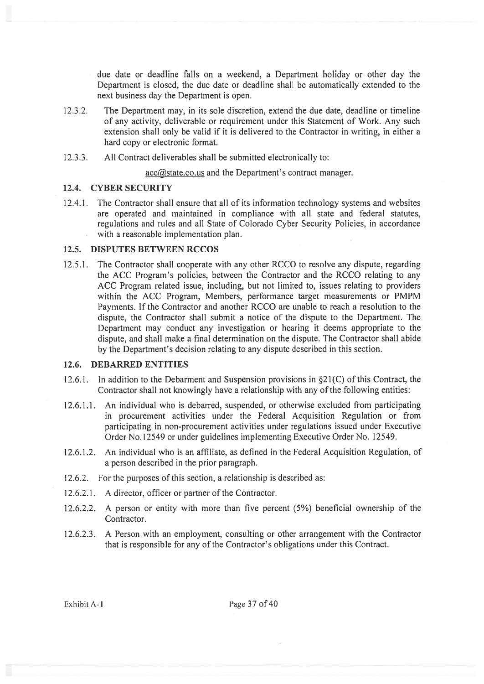due date or deadline falls on <sup>a</sup> weekend, <sup>a</sup> Department holiday or other day the Department is closed, the due date or deadline shall be automatically extended to the next business day the Department is open.

- 12.3.2. The Department may, in its sole discretion, extend the due date, deadline or timeline of any activity, deliverable or requirement under this Statement of Work. Any such extension shall only be valid if it is delivered to the Contractor in writing, in either <sup>a</sup> hard copy or electronic format.
- 12.3.3. All Contract deliverables shall be submitted electronically to:

acc@state.co.us and the Department's contract manager.

#### 12.4. CYBER SECURITY

12.4.1. The Contractor shall ensure that all of its information technology systems and websites are operated and maintained in compliance with all state and federal statutes, regulations and rules and all State of Colorado Cyber Security Policies, in accordance with <sup>a</sup> reasonable implementation plan.

#### 12.5. DISPUTES BETWEEN RCCOS

12.5.1. The Contractor shall cooperate with any other RCCO to resolve any dispute, regarding the ACC Program's policies, between the Contractor and the RCCO relating to any ACC Program related issue, including, but not limited to, issues relating to providers within the ACC Program, Members, performance target measurements or PMPM Payments. If the Contractor and another RCCO are unable to reach <sup>a</sup> resolution to the dispute, the Contractor shall submit <sup>a</sup> notice of the dispute to the Department. The Department may conduct any investigation or hearing it deems appropriate to the dispute, and shall make <sup>a</sup> final determination on the dispute. The Contractor shall abide by the Department's decision relating to any dispute described in this section.

#### 12.6. DEBARRED ENTITIES

- 12.6.1. In addition to the Debarment and Suspension provisions in §21(C) of this Contract, the Contractor shall not knowingly have a relationship with any of the following entities:
- 12.6.1.1. An individual who is debarred, suspended, or otherwise excluded from participating in procuremen<sup>t</sup> activities under the Federal Acquisition Regulation or from participating in non-procuremen<sup>t</sup> activities under regulations issued under Executive Order No.12549 or under guidelines implementing Executive Order No. 12549.
- 12.6.1.2. An individual who is an affiliate, as defined in the Federal Acquisition Regulation, of <sup>a</sup> person described in the prior paragraph.
- 12.6.2. For the purposes of this section, a relationship is described as:
- 12.6.2.1. A director, officer or partner of the Contractor.
- 12.6.2.2. A person or entity with more than five percen<sup>t</sup> (5%) beneficial ownership of the Contractor.
- 12.6.2.3. A Person with an employment, consulting or other arrangemen<sup>t</sup> with the Contractor that is responsible for any of the Contractor's obligations under this Contract.

Exhibit A-1 Page 37 of 40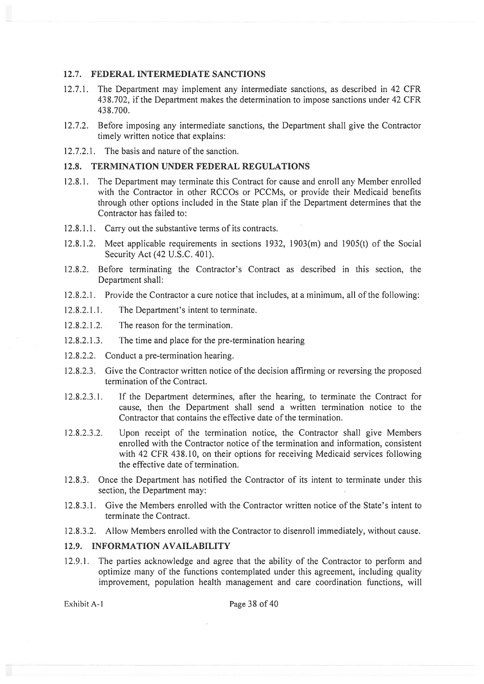#### 12.7. FEDERAL INTERMEDIATE SANCTIONS

- 12.7.1. The Department may implement any intermediate sanctions, as described in 42 CFR 438.702, if the Department makes the determination to impose sanctions under 42 CFR 43 8.700.
- 12.7.2. Before imposing any intermediate sanctions, the Department shall give the Contractor timely written notice that explains:

12.7.2.1. The basis and nature of the sanction.

#### 12.8. TERMINATION UNDER FEDERAL REGULATIONS

- 12.8.1. The Department may terminate this Contract for cause and enroll any Member enrolled with the Contractor in other RCCOs or PCCMs, or provide their Medicaid benefits through other options included in the State plan if the Department determines that the Contractor has failed to:
- 12.8.1.1. Carry out the substantive terms of its contracts.
- 12.8.1.2. Meet applicable requirements in sections 1932, 1903(m) and 1905(t) of the Social Security Act (42 U.S.C. 401).
- 12.8.2. Before terminating the Contractor's Contract as described in this section, the Department shall:
- 12.8.2.1. Provide the Contractor <sup>a</sup> cure notice that includes, at <sup>a</sup> minimum, all of the following:
- 12.8.2.1.1. The Department's intent to terminate.
- 12.8.2.1.2. The reason for the termination.
- 12.8.2.1.3. The time and place for the pre-termination hearing
- 12.8.2.2. Conduct <sup>a</sup> pre-termination hearing.
- 12.8.2.3. Give the Contractor written notice of the decision affirming or reversing the proposed termination of the Contract.
- 12.8.2.3.1. If the Department determines, after the hearing, to terminate the Contract for cause, then the Department shall send <sup>a</sup> written termination notice to the Contractor that contains the effective date of the termination.
- 12.8.2.3.2. Upon receipt of the termination notice, the Contractor shall give Members enrolled with the Contractor notice of the termination and information, consistent with 42 CFR 438.10, on their options for receiving Medicaid services following the effective date of termination.
- 12.8.3. Once the Department has notified the Contractor of its intent to terminate under this section, the Department may:
- 12.8.3.1. Give the Members enrolled with the Contractor written notice of the State's intent to terminate the Contract.
- 12.8.3.2, Allow Members enrolled with the Contractor to disenroll immediately, without cause.

### 12.9. INFORMATION AVAILABILITY

12.9.1. The parties acknowledge and agree that the ability of the Contractor to perform and optimize many of the functions contemplated under this agreement, including quality improvement, population health managemen<sup>t</sup> and care coordination functions, will

Exhibit A-1 Page 38 of 40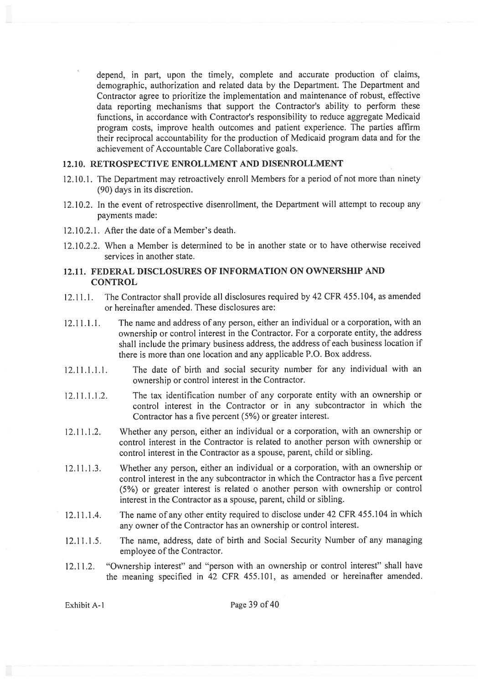depend, in part, upon the timely, complete and accurate production of claims, demographic, authorization and related data by the Department. The Department and Contractor agree to prioritize the implementation and maintenance of robust, effective data reporting mechanisms that suppor<sup>t</sup> the Contractor's ability to perform these functions, in accordance with Contractor's responsibility to reduce aggregate Medicaid program costs, improve health outcomes and patient experience. The parties affirm their reciprocal accountability for the production of Medicaid program data and for the achievement of Accountable Care Collaborative goals.

#### 12.10. RETROSPECTIVE ENROLLMENT AND DISENROLLMENT

- 12.10.1. The Department may retroactively enroll Members for <sup>a</sup> period of not more than ninety (90) days in its discretion.
- 12.10.2. In the event of retrospective disenrollment, the Department will attempt to recoup any payments made:
- 12.10.2.1. After the date of <sup>a</sup> Member's death.
- 12.10.2.2. When <sup>a</sup> Member is determined to be in another state or to have otherwise received services in another state.

### 12.11. FEDERAL DISCLOSURES OF INFORMATION ON OWNERSHIP AND **CONTROL**

- 12.11.1. The Contractor shall provide all disclosures required by <sup>42</sup> CFR455.104, as amended or hereinafter amended. These disclosures are:
- 12.11.1.1. The name and address of any person, either an individual or <sup>a</sup> corporation, with an ownership or control interest in the Contractor. For <sup>a</sup> corporate entity, the address shall include the primary business address, the address of each business location if there is more than one location and any applicable P.O. Box address.
- 12.11.1.1.1. The date of birth and social security number for any individual with an ownership or control interest in the Contractor.
- 12.11.1.1.2. The tax identification number oF any corporate entity with an ownership or control interest in the Contractor or in any subcontractor in which the Contractor has <sup>a</sup> five percen<sup>t</sup> (5%) or greater interest.
- 12.11.1.2. Whether any person, either an individual or <sup>a</sup> corporation, with an ownership or control interest in the Contractor is related to another person with ownership or control interest in the Contractor as <sup>a</sup> spouse, parent, child or sibling.
- 12.11.1.3, Whether any person, either an individual or <sup>a</sup> corporation, with an ownership or control interest in the any subcontractor in which the Contractor has <sup>a</sup> five percen<sup>t</sup> (5%) or greater interest is related <sup>o</sup> another person with ownership or control interest in the Contractor as <sup>a</sup> spouse, parent, child or sibling.
- 12.11.1.4. The name of any other entity required to disclose under <sup>42</sup> CFR 455.104 in which any owner of the Contractor has an ownership or control interest.
- 12.11.1.5. The name, address, date of birth and Social Security Number of any managing employee of the Contractor.
- 12.11.2. 'Ownership interest" and "person with an ownership or control interest" shall have the meaning specified in <sup>42</sup> CFR 455.101, as amended or hereinafter amended.

Exhibit A-1 Page 39 of 40